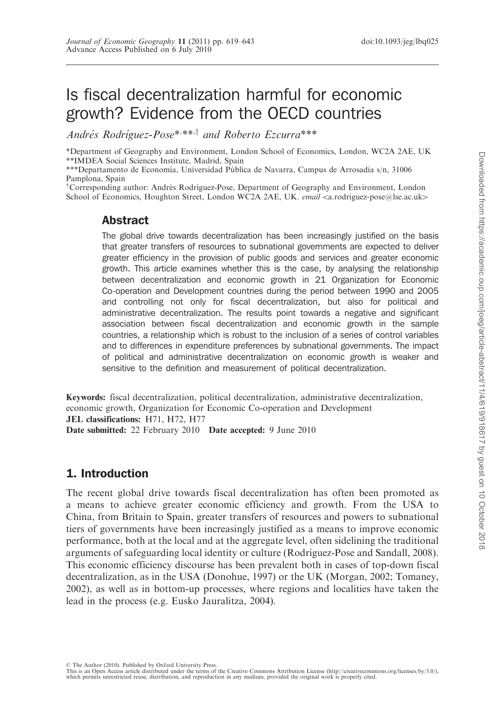# Is fiscal decentralization harmful for economic growth? Evidence from the OECD countries

Andrés Rodríguez-Pose\*\*\*\*<sup>†</sup> and Roberto Ezcurra\*\*\*

\*Department of Geography and Environment, London School of Economics, London, WC2A 2AE, UK \*\*IMDEA Social Sciences Institute, Madrid, Spain

\*\*\*Departamento de Economía, Universidad Pública de Navarra, Campus de Arrosadia s/n, 31006 Pamplona, Spain

<sup>†</sup>Corresponding author: Andrés Rodríguez-Pose, Department of Geography and Environment, London School of Economics, Houghton Street, London WC2A 2AE, UK. email <a.rodriguez-pose@lse.ac.uk>

## Abstract

The global drive towards decentralization has been increasingly justified on the basis that greater transfers of resources to subnational governments are expected to deliver greater efficiency in the provision of public goods and services and greater economic growth. This article examines whether this is the case, by analysing the relationship between decentralization and economic growth in 21 Organization for Economic Co-operation and Development countries during the period between 1990 and 2005 and controlling not only for fiscal decentralization, but also for political and administrative decentralization. The results point towards a negative and significant association between fiscal decentralization and economic growth in the sample countries, a relationship which is robust to the inclusion of a series of control variables and to differences in expenditure preferences by subnational governments. The impact of political and administrative decentralization on economic growth is weaker and sensitive to the definition and measurement of political decentralization.

Keywords: fiscal decentralization, political decentralization, administrative decentralization, economic growth, Organization for Economic Co-operation and Development JEL classifications: H71, H72, H77 Date submitted: 22 February 2010 Date accepted: 9 June 2010

## 1. Introduction

The recent global drive towards fiscal decentralization has often been promoted as a means to achieve greater economic efficiency and growth. From the USA to China, from Britain to Spain, greater transfers of resources and powers to subnational tiers of governments have been increasingly justified as a means to improve economic performance, both at the local and at the aggregate level, often sidelining the traditional arguments of safeguarding local identity or culture (Rodríguez-Pose and Sandall, 2008). This economic efficiency discourse has been prevalent both in cases of top-down fiscal decentralization, as in the USA (Donohue, 1997) or the UK (Morgan, 2002; Tomaney, 2002), as well as in bottom-up processes, where regions and localities have taken the lead in the process (e.g. Eusko Jauralitza, 2004).

© The Author (2010). Published by Oxford University Press.

This is an Open Access article distributed under the terms of the Creative Commons Attribution License (http://creativecommons.org/licenses/by/3.0/),<br>which permits unrestricted reuse, distribution, and reproduction in any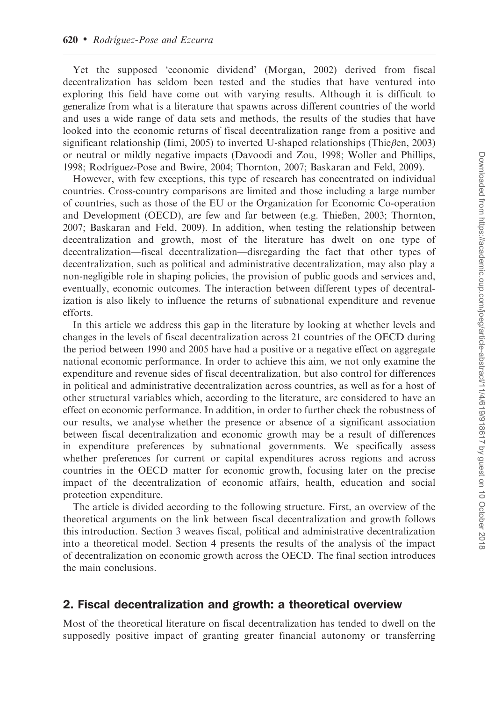Yet the supposed 'economic dividend' (Morgan, 2002) derived from fiscal decentralization has seldom been tested and the studies that have ventured into exploring this field have come out with varying results. Although it is difficult to generalize from what is a literature that spawns across different countries of the world and uses a wide range of data sets and methods, the results of the studies that have looked into the economic returns of fiscal decentralization range from a positive and significant relationship (Iimi, 2005) to inverted U-shaped relationships (Thie $\beta$ en, 2003) or neutral or mildly negative impacts (Davoodi and Zou, 1998; Woller and Phillips, 1998; Rodrı´guez-Pose and Bwire, 2004; Thornton, 2007; Baskaran and Feld, 2009).

However, with few exceptions, this type of research has concentrated on individual countries. Cross-country comparisons are limited and those including a large number of countries, such as those of the EU or the Organization for Economic Co-operation and Development (OECD), are few and far between (e.g. Thießen, 2003; Thornton, 2007; Baskaran and Feld, 2009). In addition, when testing the relationship between decentralization and growth, most of the literature has dwelt on one type of decentralization—fiscal decentralization—disregarding the fact that other types of decentralization, such as political and administrative decentralization, may also play a non-negligible role in shaping policies, the provision of public goods and services and, eventually, economic outcomes. The interaction between different types of decentralization is also likely to influence the returns of subnational expenditure and revenue efforts.

In this article we address this gap in the literature by looking at whether levels and changes in the levels of fiscal decentralization across 21 countries of the OECD during the period between 1990 and 2005 have had a positive or a negative effect on aggregate national economic performance. In order to achieve this aim, we not only examine the expenditure and revenue sides of fiscal decentralization, but also control for differences in political and administrative decentralization across countries, as well as for a host of other structural variables which, according to the literature, are considered to have an effect on economic performance. In addition, in order to further check the robustness of our results, we analyse whether the presence or absence of a significant association between fiscal decentralization and economic growth may be a result of differences in expenditure preferences by subnational governments. We specifically assess whether preferences for current or capital expenditures across regions and across countries in the OECD matter for economic growth, focusing later on the precise impact of the decentralization of economic affairs, health, education and social protection expenditure.

The article is divided according to the following structure. First, an overview of the theoretical arguments on the link between fiscal decentralization and growth follows this introduction. Section 3 weaves fiscal, political and administrative decentralization into a theoretical model. Section 4 presents the results of the analysis of the impact of decentralization on economic growth across the OECD. The final section introduces the main conclusions.

#### 2. Fiscal decentralization and growth: a theoretical overview

Most of the theoretical literature on fiscal decentralization has tended to dwell on the supposedly positive impact of granting greater financial autonomy or transferring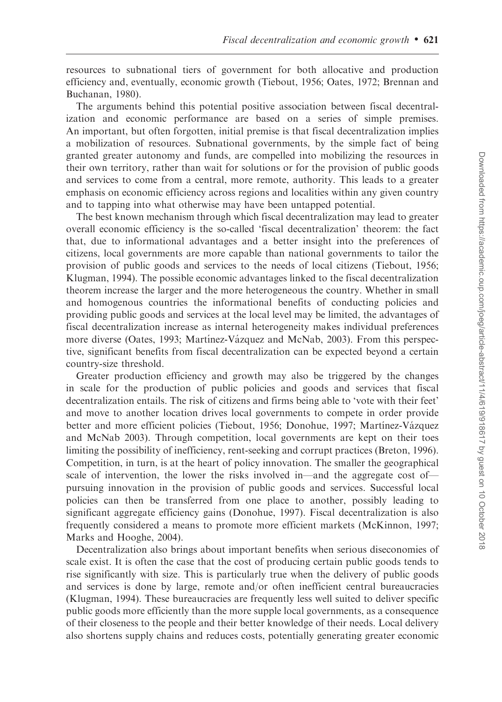resources to subnational tiers of government for both allocative and production efficiency and, eventually, economic growth (Tiebout, 1956; Oates, 1972; Brennan and Buchanan, 1980).

The arguments behind this potential positive association between fiscal decentralization and economic performance are based on a series of simple premises. An important, but often forgotten, initial premise is that fiscal decentralization implies a mobilization of resources. Subnational governments, by the simple fact of being granted greater autonomy and funds, are compelled into mobilizing the resources in their own territory, rather than wait for solutions or for the provision of public goods and services to come from a central, more remote, authority. This leads to a greater emphasis on economic efficiency across regions and localities within any given country and to tapping into what otherwise may have been untapped potential.

The best known mechanism through which fiscal decentralization may lead to greater overall economic efficiency is the so-called 'fiscal decentralization' theorem: the fact that, due to informational advantages and a better insight into the preferences of citizens, local governments are more capable than national governments to tailor the provision of public goods and services to the needs of local citizens (Tiebout, 1956; Klugman, 1994). The possible economic advantages linked to the fiscal decentralization theorem increase the larger and the more heterogeneous the country. Whether in small and homogenous countries the informational benefits of conducting policies and providing public goods and services at the local level may be limited, the advantages of fiscal decentralization increase as internal heterogeneity makes individual preferences more diverse (Oates, 1993; Martínez-Vázquez and McNab, 2003). From this perspective, significant benefits from fiscal decentralization can be expected beyond a certain country-size threshold.

Greater production efficiency and growth may also be triggered by the changes in scale for the production of public policies and goods and services that fiscal decentralization entails. The risk of citizens and firms being able to 'vote with their feet' and move to another location drives local governments to compete in order provide better and more efficient policies (Tiebout, 1956; Donohue, 1997; Martínez-Vázquez and McNab 2003). Through competition, local governments are kept on their toes limiting the possibility of inefficiency, rent-seeking and corrupt practices (Breton, 1996). Competition, in turn, is at the heart of policy innovation. The smaller the geographical scale of intervention, the lower the risks involved in—and the aggregate cost of pursuing innovation in the provision of public goods and services. Successful local policies can then be transferred from one place to another, possibly leading to significant aggregate efficiency gains (Donohue, 1997). Fiscal decentralization is also frequently considered a means to promote more efficient markets (McKinnon, 1997; Marks and Hooghe, 2004).

Decentralization also brings about important benefits when serious diseconomies of scale exist. It is often the case that the cost of producing certain public goods tends to rise significantly with size. This is particularly true when the delivery of public goods and services is done by large, remote and/or often inefficient central bureaucracies (Klugman, 1994). These bureaucracies are frequently less well suited to deliver specific public goods more efficiently than the more supple local governments, as a consequence of their closeness to the people and their better knowledge of their needs. Local delivery also shortens supply chains and reduces costs, potentially generating greater economic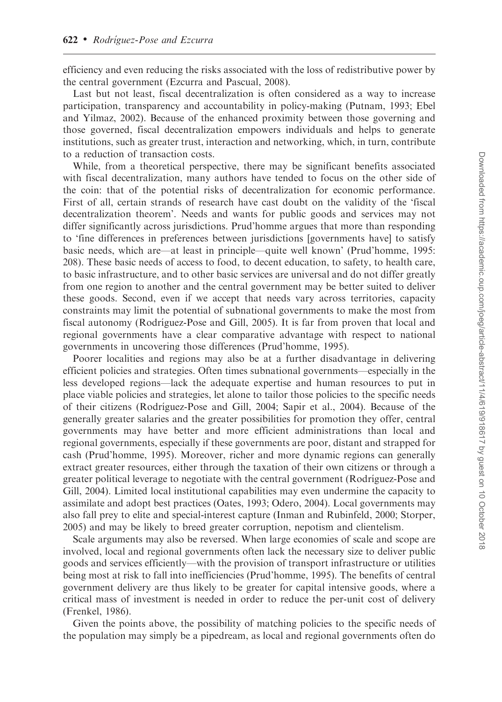efficiency and even reducing the risks associated with the loss of redistributive power by the central government (Ezcurra and Pascual, 2008).

Last but not least, fiscal decentralization is often considered as a way to increase participation, transparency and accountability in policy-making (Putnam, 1993; Ebel and Yilmaz, 2002). Because of the enhanced proximity between those governing and those governed, fiscal decentralization empowers individuals and helps to generate institutions, such as greater trust, interaction and networking, which, in turn, contribute to a reduction of transaction costs.

While, from a theoretical perspective, there may be significant benefits associated with fiscal decentralization, many authors have tended to focus on the other side of the coin: that of the potential risks of decentralization for economic performance. First of all, certain strands of research have cast doubt on the validity of the 'fiscal decentralization theorem'. Needs and wants for public goods and services may not differ significantly across jurisdictions. Prud'homme argues that more than responding to 'fine differences in preferences between jurisdictions [governments have] to satisfy basic needs, which are—at least in principle—quite well known' (Prud'homme, 1995: 208). These basic needs of access to food, to decent education, to safety, to health care, to basic infrastructure, and to other basic services are universal and do not differ greatly from one region to another and the central government may be better suited to deliver these goods. Second, even if we accept that needs vary across territories, capacity constraints may limit the potential of subnational governments to make the most from fiscal autonomy (Rodríguez-Pose and Gill, 2005). It is far from proven that local and regional governments have a clear comparative advantage with respect to national governments in uncovering those differences (Prud'homme, 1995).

Poorer localities and regions may also be at a further disadvantage in delivering efficient policies and strategies. Often times subnational governments—especially in the less developed regions—lack the adequate expertise and human resources to put in place viable policies and strategies, let alone to tailor those policies to the specific needs of their citizens (Rodrı´guez-Pose and Gill, 2004; Sapir et al., 2004). Because of the generally greater salaries and the greater possibilities for promotion they offer, central governments may have better and more efficient administrations than local and regional governments, especially if these governments are poor, distant and strapped for cash (Prud'homme, 1995). Moreover, richer and more dynamic regions can generally extract greater resources, either through the taxation of their own citizens or through a greater political leverage to negotiate with the central government (Rodríguez-Pose and Gill, 2004). Limited local institutional capabilities may even undermine the capacity to assimilate and adopt best practices (Oates, 1993; Odero, 2004). Local governments may also fall prey to elite and special-interest capture (Inman and Rubinfeld, 2000; Storper, 2005) and may be likely to breed greater corruption, nepotism and clientelism.

Scale arguments may also be reversed. When large economies of scale and scope are involved, local and regional governments often lack the necessary size to deliver public goods and services efficiently—with the provision of transport infrastructure or utilities being most at risk to fall into inefficiencies (Prud'homme, 1995). The benefits of central government delivery are thus likely to be greater for capital intensive goods, where a critical mass of investment is needed in order to reduce the per-unit cost of delivery (Frenkel, 1986).

Given the points above, the possibility of matching policies to the specific needs of the population may simply be a pipedream, as local and regional governments often do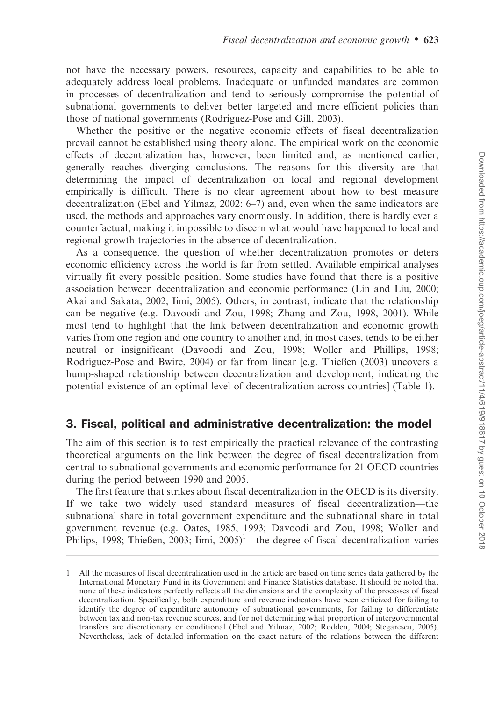not have the necessary powers, resources, capacity and capabilities to be able to adequately address local problems. Inadequate or unfunded mandates are common in processes of decentralization and tend to seriously compromise the potential of subnational governments to deliver better targeted and more efficient policies than those of national governments (Rodríguez-Pose and Gill, 2003).

Whether the positive or the negative economic effects of fiscal decentralization prevail cannot be established using theory alone. The empirical work on the economic effects of decentralization has, however, been limited and, as mentioned earlier, generally reaches diverging conclusions. The reasons for this diversity are that determining the impact of decentralization on local and regional development empirically is difficult. There is no clear agreement about how to best measure decentralization (Ebel and Yilmaz, 2002: 6–7) and, even when the same indicators are used, the methods and approaches vary enormously. In addition, there is hardly ever a counterfactual, making it impossible to discern what would have happened to local and regional growth trajectories in the absence of decentralization.

As a consequence, the question of whether decentralization promotes or deters economic efficiency across the world is far from settled. Available empirical analyses virtually fit every possible position. Some studies have found that there is a positive association between decentralization and economic performance (Lin and Liu, 2000; Akai and Sakata, 2002; Iimi, 2005). Others, in contrast, indicate that the relationship can be negative (e.g. Davoodi and Zou, 1998; Zhang and Zou, 1998, 2001). While most tend to highlight that the link between decentralization and economic growth varies from one region and one country to another and, in most cases, tends to be either neutral or insignificant (Davoodi and Zou, 1998; Woller and Phillips, 1998; Rodríguez-Pose and Bwire, 2004) or far from linear [e.g. Thießen (2003) uncovers a hump-shaped relationship between decentralization and development, indicating the potential existence of an optimal level of decentralization across countries] (Table 1).

### 3. Fiscal, political and administrative decentralization: the model

The aim of this section is to test empirically the practical relevance of the contrasting theoretical arguments on the link between the degree of fiscal decentralization from central to subnational governments and economic performance for 21 OECD countries during the period between 1990 and 2005.

The first feature that strikes about fiscal decentralization in the OECD is its diversity. If we take two widely used standard measures of fiscal decentralization—the subnational share in total government expenditure and the subnational share in total government revenue (e.g. Oates, 1985, 1993; Davoodi and Zou, 1998; Woller and Philips, 1998; Thießen, 2003; Iimi, 2005)<sup>1</sup>—the degree of fiscal decentralization varies

<sup>1</sup> All the measures of fiscal decentralization used in the article are based on time series data gathered by the International Monetary Fund in its Government and Finance Statistics database. It should be noted that none of these indicators perfectly reflects all the dimensions and the complexity of the processes of fiscal decentralization. Specifically, both expenditure and revenue indicators have been criticized for failing to identify the degree of expenditure autonomy of subnational governments, for failing to differentiate between tax and non-tax revenue sources, and for not determining what proportion of intergovernmental transfers are discretionary or conditional (Ebel and Yilmaz, 2002; Rodden, 2004; Stegarescu, 2005). Nevertheless, lack of detailed information on the exact nature of the relations between the different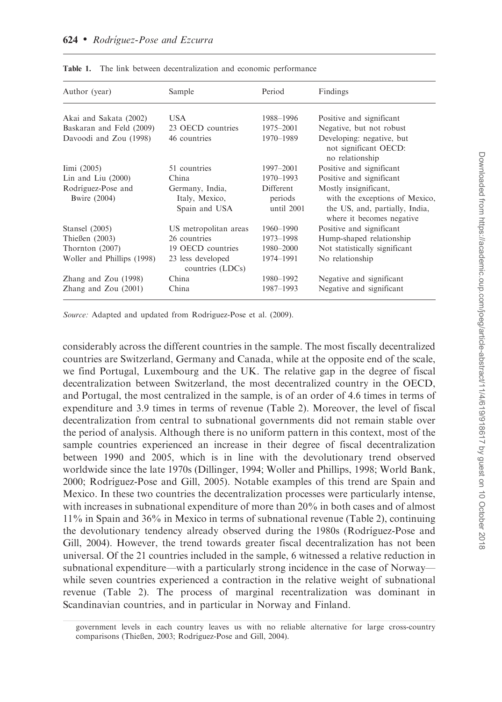| Author (year)                             | Sample                                             | Period                             | Findings                                                                                                               |
|-------------------------------------------|----------------------------------------------------|------------------------------------|------------------------------------------------------------------------------------------------------------------------|
| Akai and Sakata (2002)                    | <b>USA</b>                                         | 1988–1996                          | Positive and significant                                                                                               |
| Baskaran and Feld (2009)                  | 23 OECD countries                                  | 1975–2001                          | Negative, but not robust                                                                                               |
| Davoodi and Zou (1998)                    | 46 countries                                       | 1970-1989                          | Developing: negative, but<br>not significant OECD:<br>no relationship                                                  |
| $\lim i (2005)$                           | 51 countries                                       | $1997 - 2001$                      | Positive and significant                                                                                               |
| Lin and Liu $(2000)$                      | China                                              | 1970-1993                          | Positive and significant                                                                                               |
| Rodríguez-Pose and<br><b>Bwire</b> (2004) | Germany, India,<br>Italy, Mexico,<br>Spain and USA | Different<br>periods<br>until 2001 | Mostly insignificant,<br>with the exceptions of Mexico,<br>the US, and, partially, India,<br>where it becomes negative |
| Stansel $(2005)$                          | US metropolitan areas                              | 1960–1990                          | Positive and significant                                                                                               |
| Thießen (2003)                            | 26 countries                                       | 1973-1998                          | Hump-shaped relationship                                                                                               |
| Thornton $(2007)$                         | 19 OECD countries                                  | 1980–2000                          | Not statistically significant                                                                                          |
| Woller and Phillips (1998)                | 23 less developed<br>countries (LDCs)              | 1974-1991                          | No relationship                                                                                                        |
| Zhang and $Zou(1998)$                     | China                                              | 1980-1992                          | Negative and significant                                                                                               |
| Zhang and Zou $(2001)$                    | China                                              | 1987-1993                          | Negative and significant                                                                                               |

Table 1. The link between decentralization and economic performance

Source: Adapted and updated from Rodríguez-Pose et al. (2009).

considerably across the different countries in the sample. The most fiscally decentralized countries are Switzerland, Germany and Canada, while at the opposite end of the scale, we find Portugal, Luxembourg and the UK. The relative gap in the degree of fiscal decentralization between Switzerland, the most decentralized country in the OECD, and Portugal, the most centralized in the sample, is of an order of 4.6 times in terms of expenditure and 3.9 times in terms of revenue (Table 2). Moreover, the level of fiscal decentralization from central to subnational governments did not remain stable over the period of analysis. Although there is no uniform pattern in this context, most of the sample countries experienced an increase in their degree of fiscal decentralization between 1990 and 2005, which is in line with the devolutionary trend observed worldwide since the late 1970s (Dillinger, 1994; Woller and Phillips, 1998; World Bank, 2000; Rodrı´guez-Pose and Gill, 2005). Notable examples of this trend are Spain and Mexico. In these two countries the decentralization processes were particularly intense, with increases in subnational expenditure of more than 20% in both cases and of almost 11% in Spain and 36% in Mexico in terms of subnational revenue (Table 2), continuing the devolutionary tendency already observed during the 1980s (Rodríguez-Pose and Gill, 2004). However, the trend towards greater fiscal decentralization has not been universal. Of the 21 countries included in the sample, 6 witnessed a relative reduction in subnational expenditure—with a particularly strong incidence in the case of Norway while seven countries experienced a contraction in the relative weight of subnational revenue (Table 2). The process of marginal recentralization was dominant in Scandinavian countries, and in particular in Norway and Finland.

government levels in each country leaves us with no reliable alternative for large cross-country comparisons (Thießen, 2003; Rodríguez-Pose and Gill, 2004).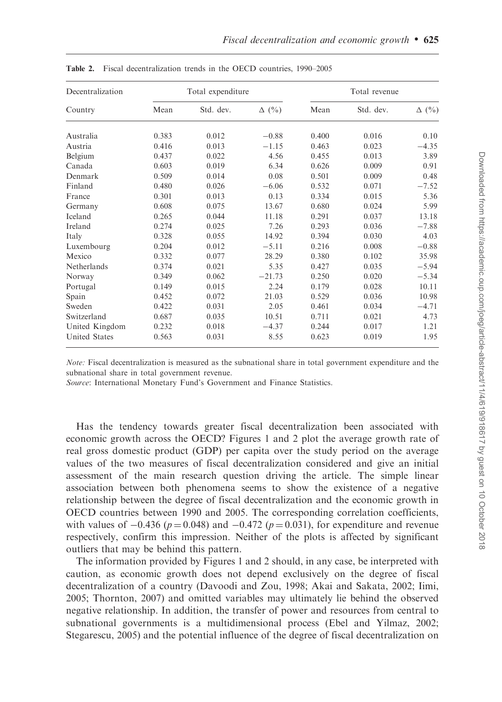| Decentralization     |       | Total expenditure |              |       | Total revenue |              |
|----------------------|-------|-------------------|--------------|-------|---------------|--------------|
| Country              | Mean  | Std. dev.         | $\Delta$ (%) | Mean  | Std. dev.     | $\Delta$ (%) |
| Australia            | 0.383 | 0.012             | $-0.88$      | 0.400 | 0.016         | 0.10         |
| Austria              | 0.416 | 0.013             | $-1.15$      | 0.463 | 0.023         | $-4.35$      |
| Belgium              | 0.437 | 0.022             | 4.56         | 0.455 | 0.013         | 3.89         |
| Canada               | 0.603 | 0.019             | 6.34         | 0.626 | 0.009         | 0.91         |
| Denmark              | 0.509 | 0.014             | 0.08         | 0.501 | 0.009         | 0.48         |
| Finland              | 0.480 | 0.026             | $-6.06$      | 0.532 | 0.071         | $-7.52$      |
| France               | 0.301 | 0.013             | 0.13         | 0.334 | 0.015         | 5.36         |
| Germany              | 0.608 | 0.075             | 13.67        | 0.680 | 0.024         | 5.99         |
| Iceland              | 0.265 | 0.044             | 11.18        | 0.291 | 0.037         | 13.18        |
| Ireland              | 0.274 | 0.025             | 7.26         | 0.293 | 0.036         | $-7.88$      |
| Italy                | 0.328 | 0.055             | 14.92        | 0.394 | 0.030         | 4.03         |
| Luxembourg           | 0.204 | 0.012             | $-5.11$      | 0.216 | 0.008         | $-0.88$      |
| Mexico               | 0.332 | 0.077             | 28.29        | 0.380 | 0.102         | 35.98        |
| Netherlands          | 0.374 | 0.021             | 5.35         | 0.427 | 0.035         | $-5.94$      |
| Norway               | 0.349 | 0.062             | $-21.73$     | 0.250 | 0.020         | $-5.34$      |
| Portugal             | 0.149 | 0.015             | 2.24         | 0.179 | 0.028         | 10.11        |
| Spain                | 0.452 | 0.072             | 21.03        | 0.529 | 0.036         | 10.98        |
| Sweden               | 0.422 | 0.031             | 2.05         | 0.461 | 0.034         | $-4.71$      |
| Switzerland          | 0.687 | 0.035             | 10.51        | 0.711 | 0.021         | 4.73         |
| United Kingdom       | 0.232 | 0.018             | $-4.37$      | 0.244 | 0.017         | 1.21         |
| <b>United States</b> | 0.563 | 0.031             | 8.55         | 0.623 | 0.019         | 1.95         |

Table 2. Fiscal decentralization trends in the OECD countries, 1990–2005

Note: Fiscal decentralization is measured as the subnational share in total government expenditure and the subnational share in total government revenue.

Source: International Monetary Fund's Government and Finance Statistics.

Has the tendency towards greater fiscal decentralization been associated with economic growth across the OECD? Figures 1 and 2 plot the average growth rate of real gross domestic product (GDP) per capita over the study period on the average values of the two measures of fiscal decentralization considered and give an initial assessment of the main research question driving the article. The simple linear association between both phenomena seems to show the existence of a negative relationship between the degree of fiscal decentralization and the economic growth in OECD countries between 1990 and 2005. The corresponding correlation coefficients, with values of  $-0.436$  ( $p = 0.048$ ) and  $-0.472$  ( $p = 0.031$ ), for expenditure and revenue respectively, confirm this impression. Neither of the plots is affected by significant outliers that may be behind this pattern.

The information provided by Figures 1 and 2 should, in any case, be interpreted with caution, as economic growth does not depend exclusively on the degree of fiscal decentralization of a country (Davoodi and Zou, 1998; Akai and Sakata, 2002; Iimi, 2005; Thornton, 2007) and omitted variables may ultimately lie behind the observed negative relationship. In addition, the transfer of power and resources from central to subnational governments is a multidimensional process (Ebel and Yilmaz, 2002; Stegarescu, 2005) and the potential influence of the degree of fiscal decentralization on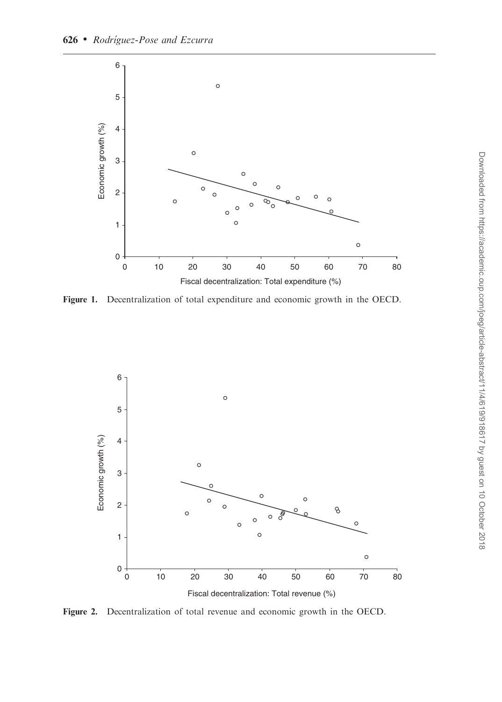

Figure 1. Decentralization of total expenditure and economic growth in the OECD.



Figure 2. Decentralization of total revenue and economic growth in the OECD.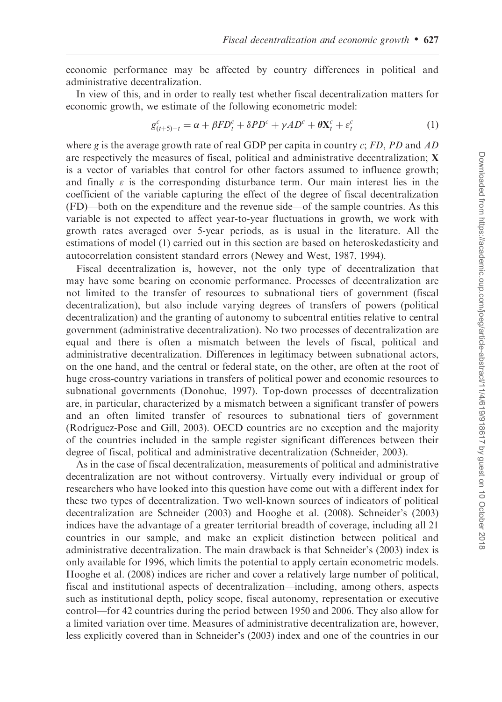economic performance may be affected by country differences in political and administrative decentralization.

In view of this, and in order to really test whether fiscal decentralization matters for economic growth, we estimate of the following econometric model:

$$
g_{(t+5)-t}^c = \alpha + \beta F D_t^c + \delta P D^c + \gamma A D^c + \theta \mathbf{X}_t^c + \varepsilon_t^c \tag{1}
$$

where g is the average growth rate of real GDP per capita in country  $c$ ; FD, PD and AD are respectively the measures of fiscal, political and administrative decentralization;  $\bf{X}$ is a vector of variables that control for other factors assumed to influence growth; and finally  $\varepsilon$  is the corresponding disturbance term. Our main interest lies in the coefficient of the variable capturing the effect of the degree of fiscal decentralization (FD)—both on the expenditure and the revenue side—of the sample countries. As this variable is not expected to affect year-to-year fluctuations in growth, we work with growth rates averaged over 5-year periods, as is usual in the literature. All the estimations of model (1) carried out in this section are based on heteroskedasticity and autocorrelation consistent standard errors (Newey and West, 1987, 1994).

Fiscal decentralization is, however, not the only type of decentralization that may have some bearing on economic performance. Processes of decentralization are not limited to the transfer of resources to subnational tiers of government (fiscal decentralization), but also include varying degrees of transfers of powers (political decentralization) and the granting of autonomy to subcentral entities relative to central government (administrative decentralization). No two processes of decentralization are equal and there is often a mismatch between the levels of fiscal, political and administrative decentralization. Differences in legitimacy between subnational actors, on the one hand, and the central or federal state, on the other, are often at the root of huge cross-country variations in transfers of political power and economic resources to subnational governments (Donohue, 1997). Top-down processes of decentralization are, in particular, characterized by a mismatch between a significant transfer of powers and an often limited transfer of resources to subnational tiers of government (Rodrı´guez-Pose and Gill, 2003). OECD countries are no exception and the majority of the countries included in the sample register significant differences between their degree of fiscal, political and administrative decentralization (Schneider, 2003).

As in the case of fiscal decentralization, measurements of political and administrative decentralization are not without controversy. Virtually every individual or group of researchers who have looked into this question have come out with a different index for these two types of decentralization. Two well-known sources of indicators of political decentralization are Schneider (2003) and Hooghe et al. (2008). Schneider's (2003) indices have the advantage of a greater territorial breadth of coverage, including all 21 countries in our sample, and make an explicit distinction between political and administrative decentralization. The main drawback is that Schneider's (2003) index is only available for 1996, which limits the potential to apply certain econometric models. Hooghe et al. (2008) indices are richer and cover a relatively large number of political, fiscal and institutional aspects of decentralization—including, among others, aspects such as institutional depth, policy scope, fiscal autonomy, representation or executive control—for 42 countries during the period between 1950 and 2006. They also allow for a limited variation over time. Measures of administrative decentralization are, however, less explicitly covered than in Schneider's (2003) index and one of the countries in our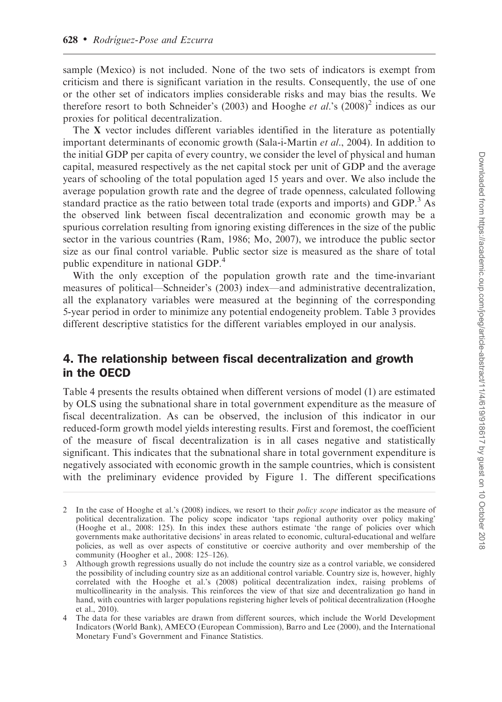sample (Mexico) is not included. None of the two sets of indicators is exempt from criticism and there is significant variation in the results. Consequently, the use of one or the other set of indicators implies considerable risks and may bias the results. We therefore resort to both Schneider's (2003) and Hooghe et al.'s (2008)<sup>2</sup> indices as our proxies for political decentralization.

The X vector includes different variables identified in the literature as potentially important determinants of economic growth (Sala-i-Martin et al., 2004). In addition to the initial GDP per capita of every country, we consider the level of physical and human capital, measured respectively as the net capital stock per unit of GDP and the average years of schooling of the total population aged 15 years and over. We also include the average population growth rate and the degree of trade openness, calculated following standard practice as the ratio between total trade (exports and imports) and GDP.<sup>3</sup> As the observed link between fiscal decentralization and economic growth may be a spurious correlation resulting from ignoring existing differences in the size of the public sector in the various countries (Ram, 1986; Mo, 2007), we introduce the public sector size as our final control variable. Public sector size is measured as the share of total public expenditure in national GDP.<sup>4</sup>

With the only exception of the population growth rate and the time-invariant measures of political—Schneider's (2003) index—and administrative decentralization, all the explanatory variables were measured at the beginning of the corresponding 5-year period in order to minimize any potential endogeneity problem. Table 3 provides different descriptive statistics for the different variables employed in our analysis.

## 4. The relationship between fiscal decentralization and growth in the OECD

Table 4 presents the results obtained when different versions of model (1) are estimated by OLS using the subnational share in total government expenditure as the measure of fiscal decentralization. As can be observed, the inclusion of this indicator in our reduced-form growth model yields interesting results. First and foremost, the coefficient of the measure of fiscal decentralization is in all cases negative and statistically significant. This indicates that the subnational share in total government expenditure is negatively associated with economic growth in the sample countries, which is consistent with the preliminary evidence provided by Figure 1. The different specifications

<sup>2</sup> In the case of Hooghe et al.'s (2008) indices, we resort to their *policy scope* indicator as the measure of political decentralization. The policy scope indicator 'taps regional authority over policy making' (Hooghe et al., 2008: 125). In this index these authors estimate 'the range of policies over which governments make authoritative decisions' in areas related to economic, cultural-educational and welfare policies, as well as over aspects of constitutive or coercive authority and over membership of the community (Hoogher et al., 2008: 125–126).

<sup>3</sup> Although growth regressions usually do not include the country size as a control variable, we considered the possibility of including country size as an additional control variable. Country size is, however, highly correlated with the Hooghe et al.'s (2008) political decentralization index, raising problems of multicollinearity in the analysis. This reinforces the view of that size and decentralization go hand in hand, with countries with larger populations registering higher levels of political decentralization (Hooghe et al., 2010).

The data for these variables are drawn from different sources, which include the World Development Indicators (World Bank), AMECO (European Commission), Barro and Lee (2000), and the International Monetary Fund's Government and Finance Statistics.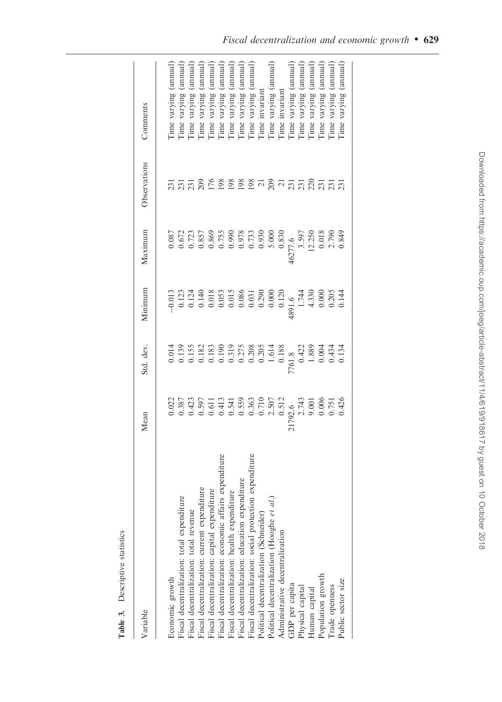| Variable                                                                                     | Mean                                                                                                                                                                                                                                                                                                        | Std. dev. | Minimum                                                                                                                                                                   | Maximum                                                                                                                                                       | Observations                                                                                                                                                                                                                                                                                                                                                                         | Comments                                                                                                                                                                                                                                        |
|----------------------------------------------------------------------------------------------|-------------------------------------------------------------------------------------------------------------------------------------------------------------------------------------------------------------------------------------------------------------------------------------------------------------|-----------|---------------------------------------------------------------------------------------------------------------------------------------------------------------------------|---------------------------------------------------------------------------------------------------------------------------------------------------------------|--------------------------------------------------------------------------------------------------------------------------------------------------------------------------------------------------------------------------------------------------------------------------------------------------------------------------------------------------------------------------------------|-------------------------------------------------------------------------------------------------------------------------------------------------------------------------------------------------------------------------------------------------|
|                                                                                              |                                                                                                                                                                                                                                                                                                             |           |                                                                                                                                                                           |                                                                                                                                                               |                                                                                                                                                                                                                                                                                                                                                                                      |                                                                                                                                                                                                                                                 |
| Economic growth                                                                              |                                                                                                                                                                                                                                                                                                             |           |                                                                                                                                                                           |                                                                                                                                                               |                                                                                                                                                                                                                                                                                                                                                                                      |                                                                                                                                                                                                                                                 |
| Fiscal decentralization: total expenditure                                                   |                                                                                                                                                                                                                                                                                                             |           |                                                                                                                                                                           |                                                                                                                                                               |                                                                                                                                                                                                                                                                                                                                                                                      |                                                                                                                                                                                                                                                 |
| Fiscal decentralization: total revenue                                                       |                                                                                                                                                                                                                                                                                                             |           |                                                                                                                                                                           |                                                                                                                                                               | $\overline{a}$ $\overline{a}$ $\overline{a}$ $\overline{a}$ $\overline{a}$ $\overline{a}$ $\overline{a}$ $\overline{a}$ $\overline{a}$ $\overline{a}$ $\overline{a}$ $\overline{a}$ $\overline{a}$ $\overline{a}$ $\overline{a}$ $\overline{a}$ $\overline{a}$ $\overline{a}$ $\overline{a}$ $\overline{a}$ $\overline{a}$ $\overline{a}$ $\overline{a}$ $\overline{a}$ $\overline{$ |                                                                                                                                                                                                                                                 |
|                                                                                              |                                                                                                                                                                                                                                                                                                             |           |                                                                                                                                                                           |                                                                                                                                                               |                                                                                                                                                                                                                                                                                                                                                                                      |                                                                                                                                                                                                                                                 |
| Fiscal decentralization: current expenditure<br>Fiscal decentralization: capital expenditure |                                                                                                                                                                                                                                                                                                             |           |                                                                                                                                                                           |                                                                                                                                                               |                                                                                                                                                                                                                                                                                                                                                                                      |                                                                                                                                                                                                                                                 |
| Fiscal decentralization: economic affairs expenditure                                        |                                                                                                                                                                                                                                                                                                             |           |                                                                                                                                                                           |                                                                                                                                                               |                                                                                                                                                                                                                                                                                                                                                                                      |                                                                                                                                                                                                                                                 |
| Fiscal decentralization: health expenditure                                                  | $\begin{array}{l} 0.023 \\ 0.033 \\ 0.354 \\ 0.555 \\ 0.01 \\ 0.023 \\ 0.035 \\ 0.01 \\ 0.01 \\ 0.01 \\ 0.01 \\ 0.01 \\ 0.01 \\ 0.01 \\ 0.01 \\ 0.01 \\ 0.01 \\ 0.01 \\ 0.01 \\ 0.01 \\ 0.01 \\ 0.01 \\ 0.01 \\ 0.01 \\ 0.01 \\ 0.01 \\ 0.01 \\ 0.01 \\ 0.01 \\ 0.01 \\ 0.01 \\ 0.01 \\ 0.01 \\ 0.01 \\ 0.$ |           | $-0.013144$ $-0.012144$ $-0.012144$ $-0.012144$ $-0.012144$ $-0.012144$ $-0.012144$ $-0.012144$ $-0.012144$ $-0.012144$ $-0.012144$ $-0.012144$ $-0.0121444$ $-0.0121444$ | $\begin{array}{l} 0.087 \\ 0.672 \\ 0.673 \\ 0.857 \\ 0.89 \\ 0.073 \\ 0.00 \\ 0.00 \\ 0.00 \\ 0.00 \\ 0.00 \\ 0.00 \\ 0.00 \\ 0.030 \\ 0.030 \\ \end{array}$ | $\frac{8}{6}$                                                                                                                                                                                                                                                                                                                                                                        | Time varying (annual)<br>Time varying (annual)<br>Time varying (annual)<br>Time varying (annual)<br>Time varying (annual)<br>Time varying (annual)<br>Time varying (annual)<br>Time varying (annual)<br>Time varying (annual)<br>Time varying ( |
| Fiscal decentralization: education expenditure                                               |                                                                                                                                                                                                                                                                                                             |           |                                                                                                                                                                           |                                                                                                                                                               | 198                                                                                                                                                                                                                                                                                                                                                                                  |                                                                                                                                                                                                                                                 |
| Fiscal decentralization: social protection expenditure                                       |                                                                                                                                                                                                                                                                                                             |           |                                                                                                                                                                           |                                                                                                                                                               | $\frac{198}{21}$                                                                                                                                                                                                                                                                                                                                                                     |                                                                                                                                                                                                                                                 |
| Political decentralization (Schneider)                                                       |                                                                                                                                                                                                                                                                                                             |           |                                                                                                                                                                           |                                                                                                                                                               |                                                                                                                                                                                                                                                                                                                                                                                      |                                                                                                                                                                                                                                                 |
| d.)<br>Political decentralization (Hooghe et                                                 |                                                                                                                                                                                                                                                                                                             |           |                                                                                                                                                                           |                                                                                                                                                               |                                                                                                                                                                                                                                                                                                                                                                                      |                                                                                                                                                                                                                                                 |
| Administrative decentralization                                                              |                                                                                                                                                                                                                                                                                                             |           |                                                                                                                                                                           |                                                                                                                                                               |                                                                                                                                                                                                                                                                                                                                                                                      |                                                                                                                                                                                                                                                 |
| GDP per capita                                                                               |                                                                                                                                                                                                                                                                                                             |           |                                                                                                                                                                           |                                                                                                                                                               |                                                                                                                                                                                                                                                                                                                                                                                      |                                                                                                                                                                                                                                                 |
| <sup>p</sup> hysical capital                                                                 |                                                                                                                                                                                                                                                                                                             |           |                                                                                                                                                                           |                                                                                                                                                               |                                                                                                                                                                                                                                                                                                                                                                                      |                                                                                                                                                                                                                                                 |
| Human capital                                                                                |                                                                                                                                                                                                                                                                                                             |           |                                                                                                                                                                           |                                                                                                                                                               |                                                                                                                                                                                                                                                                                                                                                                                      |                                                                                                                                                                                                                                                 |
| Population growth                                                                            |                                                                                                                                                                                                                                                                                                             |           |                                                                                                                                                                           | 46277.6<br>3.597<br>3.250<br>12.250<br>10.849<br>2.790                                                                                                        | ន្តិកត្តក្តុងនាគ                                                                                                                                                                                                                                                                                                                                                                     | Time varying (annual)                                                                                                                                                                                                                           |
| <b>Trade</b> openness                                                                        |                                                                                                                                                                                                                                                                                                             |           |                                                                                                                                                                           |                                                                                                                                                               |                                                                                                                                                                                                                                                                                                                                                                                      | l'ime varying (annual                                                                                                                                                                                                                           |
| Public sector size                                                                           |                                                                                                                                                                                                                                                                                                             |           |                                                                                                                                                                           |                                                                                                                                                               |                                                                                                                                                                                                                                                                                                                                                                                      | Time varying (annual                                                                                                                                                                                                                            |

Table 3. Descriptive statistics Table 3. Descriptive statistics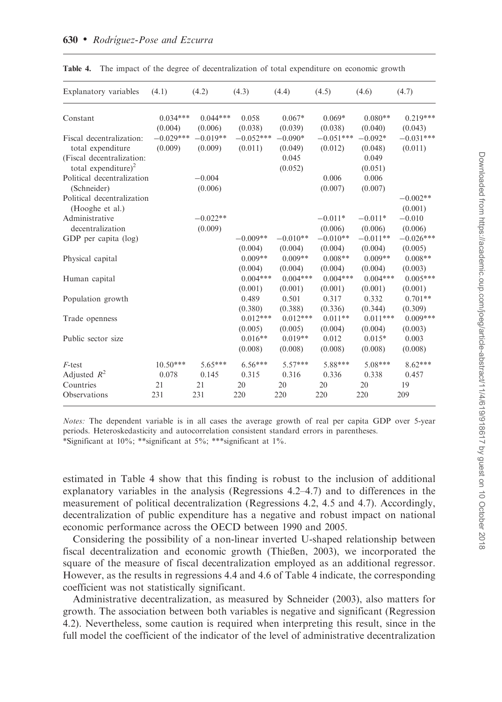| Explanatory variables           | (4.1)                 | (4.2)                 | (4.3)            | (4.4)               | (4.5)               | (4.6)                | (4.7)                 |
|---------------------------------|-----------------------|-----------------------|------------------|---------------------|---------------------|----------------------|-----------------------|
| Constant                        | $0.034***$<br>(0.004) | $0.044***$<br>(0.006) | 0.058<br>(0.038) | $0.067*$<br>(0.039) | $0.069*$<br>(0.038) | $0.080**$<br>(0.040) | $0.219***$<br>(0.043) |
| Fiscal decentralization:        | $-0.029***$           | $-0.019**$            | $-0.052***$      | $-0.090*$           | $-0.051***$         | $-0.092*$            | $-0.031***$           |
| total expenditure               | (0.009)               | (0.009)               | (0.011)          | (0.049)             | (0.012)             | (0.048)              | (0.011)               |
| (Fiscal decentralization:       |                       |                       |                  | 0.045               |                     | 0.049                |                       |
| total expenditure) <sup>2</sup> |                       |                       |                  | (0.052)             |                     | (0.051)              |                       |
| Political decentralization      |                       | $-0.004$              |                  |                     | 0.006               | 0.006                |                       |
| (Schneider)                     |                       | (0.006)               |                  |                     | (0.007)             | (0.007)              |                       |
| Political decentralization      |                       |                       |                  |                     |                     |                      | $-0.002**$            |
| (Hooghe et al.)                 |                       |                       |                  |                     |                     |                      | (0.001)               |
| Administrative                  |                       | $-0.022**$            |                  |                     | $-0.011*$           | $-0.011*$            | $-0.010$              |
| decentralization                |                       | (0.009)               |                  |                     | (0.006)             | (0.006)              | (0.006)               |
| GDP per capita (log)            |                       |                       | $-0.009**$       | $-0.010**$          | $-0.010**$          | $-0.011**$           | $-0.026***$           |
|                                 |                       |                       | (0.004)          | (0.004)             | (0.004)             | (0.004)              | (0.005)               |
| Physical capital                |                       |                       | $0.009**$        | $0.009**$           | $0.008**$           | $0.009**$            | $0.008**$             |
|                                 |                       |                       | (0.004)          | (0.004)             | (0.004)             | (0.004)              | (0.003)               |
| Human capital                   |                       |                       | $0.004***$       | $0.004***$          | $0.004***$          | $0.004***$           | $0.005***$            |
|                                 |                       |                       | (0.001)          | (0.001)             | (0.001)             | (0.001)              | (0.001)               |
| Population growth               |                       |                       | 0.489            | 0.501               | 0.317               | 0.332                | $0.701**$             |
|                                 |                       |                       | (0.380)          | (0.388)             | (0.336)             | (0.344)              | (0.309)               |
| Trade openness                  |                       |                       | $0.012***$       | $0.012***$          | $0.011**$           | $0.011***$           | $0.009***$            |
|                                 |                       |                       | (0.005)          | (0.005)             | (0.004)             | (0.004)              | (0.003)               |
| Public sector size              |                       |                       | $0.016**$        | $0.019**$           | 0.012               | $0.015*$             | 0.003                 |
|                                 |                       |                       | (0.008)          | (0.008)             | (0.008)             | (0.008)              | (0.008)               |
| $F$ -test                       | $10.50***$            | 5.65***               | $6.56***$        | $5.57***$           | 5.88***             | $5.08***$            | $8.62***$             |
| Adjusted $R^2$                  | 0.078                 | 0.145                 | 0.315            | 0.316               | 0.336               | 0.338                | 0.457                 |
| Countries                       | 21                    | 21                    | 20               | 20                  | 20                  | 20                   | 19                    |
| Observations                    | 231                   | 231                   | 220              | 220                 | 220                 | 220                  | 209                   |

Table 4. The impact of the degree of decentralization of total expenditure on economic growth

Notes: The dependent variable is in all cases the average growth of real per capita GDP over 5-year periods. Heteroskedasticity and autocorrelation consistent standard errors in parentheses. \*Significant at 10%; \*\*significant at 5%; \*\*\*significant at 1%.

estimated in Table 4 show that this finding is robust to the inclusion of additional explanatory variables in the analysis (Regressions 4.2–4.7) and to differences in the measurement of political decentralization (Regressions 4.2, 4.5 and 4.7). Accordingly, decentralization of public expenditure has a negative and robust impact on national economic performance across the OECD between 1990 and 2005.

Considering the possibility of a non-linear inverted U-shaped relationship between fiscal decentralization and economic growth (Thießen, 2003), we incorporated the square of the measure of fiscal decentralization employed as an additional regressor. However, as the results in regressions 4.4 and 4.6 of Table 4 indicate, the corresponding coefficient was not statistically significant.

Administrative decentralization, as measured by Schneider (2003), also matters for growth. The association between both variables is negative and significant (Regression 4.2). Nevertheless, some caution is required when interpreting this result, since in the full model the coefficient of the indicator of the level of administrative decentralization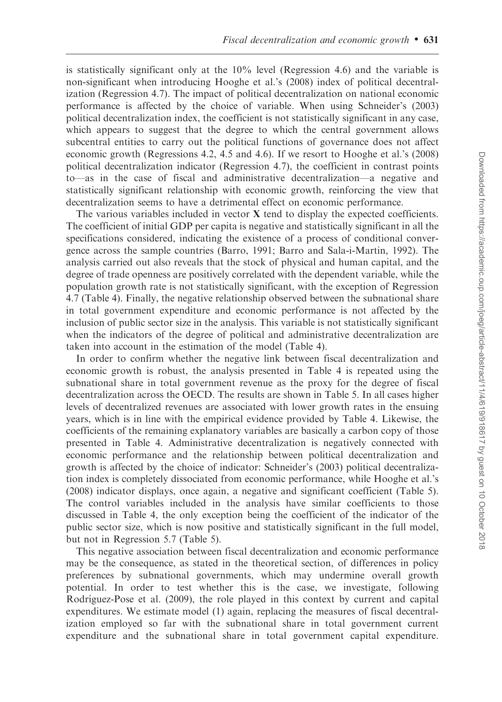is statistically significant only at the  $10\%$  level (Regression 4.6) and the variable is non-significant when introducing Hooghe et al.'s (2008) index of political decentralization (Regression 4.7). The impact of political decentralization on national economic performance is affected by the choice of variable. When using Schneider's (2003) political decentralization index, the coefficient is not statistically significant in any case, which appears to suggest that the degree to which the central government allows subcentral entities to carry out the political functions of governance does not affect economic growth (Regressions 4.2, 4.5 and 4.6). If we resort to Hooghe et al.'s (2008) political decentralization indicator (Regression 4.7), the coefficient in contrast points to—as in the case of fiscal and administrative decentralization—a negative and statistically significant relationship with economic growth, reinforcing the view that decentralization seems to have a detrimental effect on economic performance.

The various variables included in vector  $X$  tend to display the expected coefficients. The coefficient of initial GDP per capita is negative and statistically significant in all the specifications considered, indicating the existence of a process of conditional convergence across the sample countries (Barro, 1991; Barro and Sala-i-Martin, 1992). The analysis carried out also reveals that the stock of physical and human capital, and the degree of trade openness are positively correlated with the dependent variable, while the population growth rate is not statistically significant, with the exception of Regression 4.7 (Table 4). Finally, the negative relationship observed between the subnational share in total government expenditure and economic performance is not affected by the inclusion of public sector size in the analysis. This variable is not statistically significant when the indicators of the degree of political and administrative decentralization are taken into account in the estimation of the model (Table 4).

In order to confirm whether the negative link between fiscal decentralization and economic growth is robust, the analysis presented in Table 4 is repeated using the subnational share in total government revenue as the proxy for the degree of fiscal decentralization across the OECD. The results are shown in Table 5. In all cases higher levels of decentralized revenues are associated with lower growth rates in the ensuing years, which is in line with the empirical evidence provided by Table 4. Likewise, the coefficients of the remaining explanatory variables are basically a carbon copy of those presented in Table 4. Administrative decentralization is negatively connected with economic performance and the relationship between political decentralization and growth is affected by the choice of indicator: Schneider's (2003) political decentralization index is completely dissociated from economic performance, while Hooghe et al.'s (2008) indicator displays, once again, a negative and significant coefficient (Table 5). The control variables included in the analysis have similar coefficients to those discussed in Table 4, the only exception being the coefficient of the indicator of the public sector size, which is now positive and statistically significant in the full model, but not in Regression 5.7 (Table 5).

This negative association between fiscal decentralization and economic performance may be the consequence, as stated in the theoretical section, of differences in policy preferences by subnational governments, which may undermine overall growth potential. In order to test whether this is the case, we investigate, following Rodríguez-Pose et al. (2009), the role played in this context by current and capital expenditures. We estimate model (1) again, replacing the measures of fiscal decentralization employed so far with the subnational share in total government current expenditure and the subnational share in total government capital expenditure.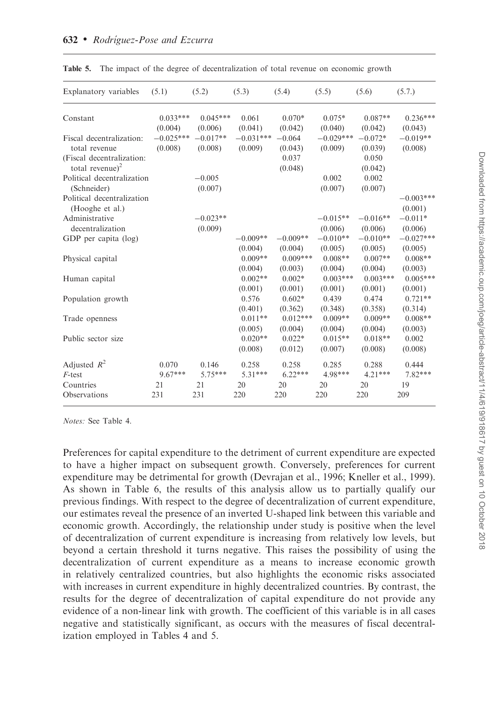| Explanatory variables      | (5.1)       | (5.2)      | (5.3)       | (5.4)      | (5.5)       | (5.6)      | (5.7.)      |
|----------------------------|-------------|------------|-------------|------------|-------------|------------|-------------|
| Constant                   | $0.033***$  | $0.045***$ | 0.061       | $0.070*$   | $0.075*$    | $0.087**$  | $0.236***$  |
|                            | (0.004)     | (0.006)    | (0.041)     | (0.042)    | (0.040)     | (0.042)    | (0.043)     |
| Fiscal decentralization:   | $-0.025***$ | $-0.017**$ | $-0.031***$ | $-0.064$   | $-0.029***$ | $-0.072*$  | $-0.019**$  |
| total revenue              | (0.008)     | (0.008)    | (0.009)     | (0.043)    | (0.009)     | (0.039)    | (0.008)     |
| (Fiscal decentralization:  |             |            |             | 0.037      |             | 0.050      |             |
| total revenue $)^2$        |             |            |             | (0.048)    |             | (0.042)    |             |
| Political decentralization |             | $-0.005$   |             |            | 0.002       | 0.002      |             |
| (Schneider)                |             | (0.007)    |             |            | (0.007)     | (0.007)    |             |
| Political decentralization |             |            |             |            |             |            | $-0.003***$ |
| (Hooghe et al.)            |             |            |             |            |             |            | (0.001)     |
| Administrative             |             | $-0.023**$ |             |            | $-0.015**$  | $-0.016**$ | $-0.011*$   |
| decentralization           |             | (0.009)    |             |            | (0.006)     | (0.006)    | (0.006)     |
| GDP per capita (log)       |             |            | $-0.009**$  | $-0.009**$ | $-0.010**$  | $-0.010**$ | $-0.027***$ |
|                            |             |            | (0.004)     | (0.004)    | (0.005)     | (0.005)    | (0.005)     |
| Physical capital           |             |            | $0.009**$   | $0.009***$ | $0.008**$   | $0.007**$  | $0.008**$   |
|                            |             |            | (0.004)     | (0.003)    | (0.004)     | (0.004)    | (0.003)     |
| Human capital              |             |            | $0.002**$   | $0.002*$   | $0.003***$  | $0.003***$ | $0.005***$  |
|                            |             |            | (0.001)     | (0.001)    | (0.001)     | (0.001)    | (0.001)     |
| Population growth          |             |            | 0.576       | $0.602*$   | 0.439       | 0.474      | $0.721**$   |
|                            |             |            | (0.401)     | (0.362)    | (0.348)     | (0.358)    | (0.314)     |
| Trade openness             |             |            | $0.011**$   | $0.012***$ | $0.009**$   | $0.009**$  | $0.008**$   |
|                            |             |            | (0.005)     | (0.004)    | (0.004)     | (0.004)    | (0.003)     |
| Public sector size         |             |            | $0.020**$   | $0.022*$   | $0.015**$   | $0.018**$  | 0.002       |
|                            |             |            | (0.008)     | (0.012)    | (0.007)     | (0.008)    | (0.008)     |
| Adjusted $R^2$             | 0.070       | 0.146      | 0.258       | 0.258      | 0.285       | 0.288      | 0.444       |
| $F$ -test                  | 9.67***     | $5.75***$  | $5.31***$   | $6.22***$  | 4.98***     | $4.21***$  | $7.82***$   |
| Countries                  | 21          | 21         | 20          | 20         | 20          | 20         | 19          |
| Observations               | 231         | 231        | 220         | 220        | 220         | 220        | 209         |

Table 5. The impact of the degree of decentralization of total revenue on economic growth

Notes: See Table 4.

Preferences for capital expenditure to the detriment of current expenditure are expected to have a higher impact on subsequent growth. Conversely, preferences for current expenditure may be detrimental for growth (Devrajan et al., 1996; Kneller et al., 1999). As shown in Table 6, the results of this analysis allow us to partially qualify our previous findings. With respect to the degree of decentralization of current expenditure, our estimates reveal the presence of an inverted U-shaped link between this variable and economic growth. Accordingly, the relationship under study is positive when the level of decentralization of current expenditure is increasing from relatively low levels, but beyond a certain threshold it turns negative. This raises the possibility of using the decentralization of current expenditure as a means to increase economic growth in relatively centralized countries, but also highlights the economic risks associated with increases in current expenditure in highly decentralized countries. By contrast, the results for the degree of decentralization of capital expenditure do not provide any evidence of a non-linear link with growth. The coefficient of this variable is in all cases negative and statistically significant, as occurs with the measures of fiscal decentralization employed in Tables 4 and 5.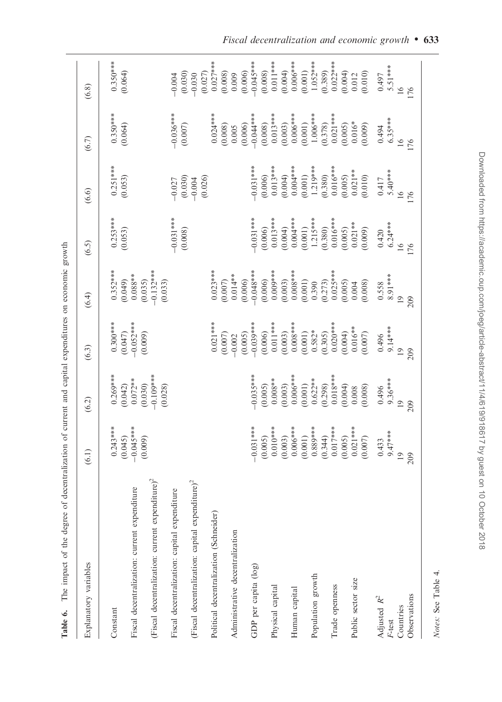| The impact of the degree<br>Table 6.                        | of decentralization of current and capital expenditures on economic growth |                                  |                        |                                   |                        |                                   |                        |                         |
|-------------------------------------------------------------|----------------------------------------------------------------------------|----------------------------------|------------------------|-----------------------------------|------------------------|-----------------------------------|------------------------|-------------------------|
| Explanatory variables                                       | (6.1)                                                                      | (6.2)                            | (6.3)                  | (6.4)                             | (6.5)                  | (6.6)                             | (6.7)                  | (6.8)                   |
| Constant                                                    | $0.243***$                                                                 | $0.269***$<br>$(0.042)$          | $0.300***$             | $0.352***$                        | $0.253***$             | $0.251***$<br>$(0.053)$           | $0.350***$             | $0.350***$<br>$(0.064)$ |
| Fiscal decentralization: current expenditure                | $-0.045***$<br>(0.045)                                                     | $0.072***$                       | $-0.052***$<br>(0.047) | $0.088**$<br>(0.049)              | (0.053)                |                                   | (0.064)                |                         |
| (Fiscal decentralization: current expenditure) <sup>2</sup> | (0.009)                                                                    | $-0.109**$<br>(0.030)<br>(0.028) | (0.009)                | $-0.132***$<br>(0.035)<br>(0.033) |                        |                                   |                        |                         |
| Fiscal decentralization: capital expenditure                |                                                                            |                                  |                        |                                   | $-0.031***$<br>(0.008) | $-0.027$<br>$(0.030)$<br>$-0.004$ | $-0.036***$<br>(0.007) | $-0.004$<br>(0.030)     |
| (Fiscal decentralization: capital expenditure) <sup>2</sup> |                                                                            |                                  |                        |                                   |                        | (0.026)                           |                        | (0.027)<br>$-0.030$     |
| Political decentralization (Schneider)                      |                                                                            |                                  | $0.021***$             | $0.023***$                        |                        |                                   | $0.024***$             | $0.027***$              |
| Administrative decentralization                             |                                                                            |                                  | (0.007)<br>$-0.002$    | $0.014**$<br>(0.007)              |                        |                                   | (0.008)<br>0.005       | (0.008)<br>0.009        |
|                                                             |                                                                            |                                  | (0.005)                | (0.006)                           |                        |                                   | (0.006)                | (0.006)                 |
| GDP per capita (log)                                        | $-0.031$ ***                                                               | $-0.035***$                      | $-0.039***$            | $-0.048***$                       | $-0.031$ ***           | $-0.031***$                       | $-0.044**$             | $-0.045***$             |
|                                                             | (0.005)                                                                    | (0.005)                          | (0.006)                | (0.006)                           | (0.006)                | (0.006)                           | (0.008)                | (0.008)                 |
| Physical capital                                            | $0.010**$                                                                  | $0.008**$                        | $0.011***$             | $0.009***$                        | $0.013***$             | $0.013***$                        | $0.013***$             | $0.011***$              |
|                                                             | (0.003)                                                                    | (0.003)                          | (0.003)                | (0.003)                           | (0.004)                | (0.004)                           | (0.003)                | (0.004)                 |
| Human capital                                               | $0.006***$<br>(0.001)                                                      | $0.006***$                       | $0.008***$<br>(0.001)  | $0.008***$                        | $0.004***$             | $0.001***$                        | $0.006***$             | $0.006***$              |
| Population growth                                           | $0.889***$                                                                 | $0.622**$<br>(0.001)             | $0.582*$               | (0.001)<br>0.390                  | $1.215***$<br>(0.001)  | $1.219***$<br>(0.001)             | $(0.001)$<br>1.006***  | $(0.001)$<br>1.052***   |
|                                                             | (0.344)                                                                    | (0.298)                          | (0.305)                |                                   | (0.380)                | (0.380)                           | (0.378)                | $(0.389)$<br>$0.022***$ |
| Trade openness                                              | $0.017***$                                                                 | $0.018***$                       | $0.020***$             | $(0.273)$<br>$0.025***$           | $0.016***$             | $0.016***$                        | $0.021***$             |                         |
|                                                             | (0.005)                                                                    | (0.004)                          | (0.004)                | (0.005)                           | (0.005)                | (0.005)                           | (0.005)                | (0.004)                 |
| Public sector size                                          | $0.021***$                                                                 | $0.008\,$                        | $0.016**$              | $0.004$                           | $0.021**$              | $0.021***$                        | $0.016*$               | 0.012                   |
|                                                             | $(0.007)$                                                                  | (0.008)                          | $(0.007)$              | (0.008)                           | (0.009)                | (0.010)                           | (0.009)                | (0.010)                 |
| Adjusted $R^2$                                              | 0.433                                                                      | 0.496                            | 0.496                  | 0.558                             | 0.420                  | 0.417                             | 0.494                  | 0.497                   |
| F-test                                                      | $9.47***$                                                                  | $9.36***$                        | $9.14***$              | $8.91***$                         | $6.24***$              | $5.40***$                         | $6.35***$              | 5.51 ***                |
| Countries                                                   |                                                                            | $\overline{19}$                  | $\overline{19}$        | $\overline{19}$                   | $\overline{16}$        | $\overline{16}$                   | 16                     | 16                      |
| Observations                                                | 209                                                                        | 209                              | 209                    | 209                               | 176                    | 176                               | 176                    | 176                     |
|                                                             |                                                                            |                                  |                        |                                   |                        |                                   |                        |                         |

Notes: See Table 4. Notes: See Table 4.

Downloaded from https://academic.oup.com/joeg/article-abstract/11/4/619/918617 by guest on 10 October 2018 Downloaded from https://academ[ic](http://joeg.oxfordjournals.org/).[oup](http://joeg.oxfordjournals.org/).[com/joeg/article](http://joeg.oxfordjournals.org/)-[abstr](http://joeg.oxfordjournals.org/)act/11/4/619/918617 by guest on 10 October 2018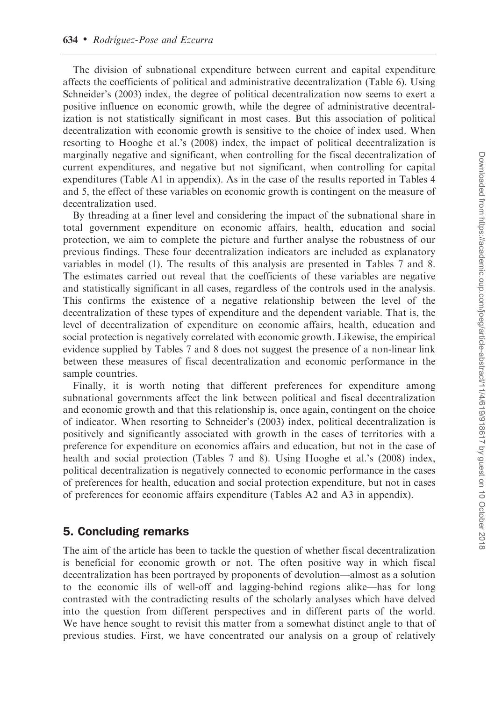The division of subnational expenditure between current and capital expenditure affects the coefficients of political and administrative decentralization (Table 6). Using Schneider's (2003) index, the degree of political decentralization now seems to exert a positive influence on economic growth, while the degree of administrative decentralization is not statistically significant in most cases. But this association of political decentralization with economic growth is sensitive to the choice of index used. When resorting to Hooghe et al.'s (2008) index, the impact of political decentralization is marginally negative and significant, when controlling for the fiscal decentralization of current expenditures, and negative but not significant, when controlling for capital expenditures (Table A1 in appendix). As in the case of the results reported in Tables 4 and 5, the effect of these variables on economic growth is contingent on the measure of decentralization used.

By threading at a finer level and considering the impact of the subnational share in total government expenditure on economic affairs, health, education and social protection, we aim to complete the picture and further analyse the robustness of our previous findings. These four decentralization indicators are included as explanatory variables in model (1). The results of this analysis are presented in Tables 7 and 8. The estimates carried out reveal that the coefficients of these variables are negative and statistically significant in all cases, regardless of the controls used in the analysis. This confirms the existence of a negative relationship between the level of the decentralization of these types of expenditure and the dependent variable. That is, the level of decentralization of expenditure on economic affairs, health, education and social protection is negatively correlated with economic growth. Likewise, the empirical evidence supplied by Tables 7 and 8 does not suggest the presence of a non-linear link between these measures of fiscal decentralization and economic performance in the sample countries.

Finally, it is worth noting that different preferences for expenditure among subnational governments affect the link between political and fiscal decentralization and economic growth and that this relationship is, once again, contingent on the choice of indicator. When resorting to Schneider's (2003) index, political decentralization is positively and significantly associated with growth in the cases of territories with a preference for expenditure on economics affairs and education, but not in the case of health and social protection (Tables 7 and 8). Using Hooghe et al.'s (2008) index, political decentralization is negatively connected to economic performance in the cases of preferences for health, education and social protection expenditure, but not in cases of preferences for economic affairs expenditure (Tables A2 and A3 in appendix).

#### 5. Concluding remarks

The aim of the article has been to tackle the question of whether fiscal decentralization is beneficial for economic growth or not. The often positive way in which fiscal decentralization has been portrayed by proponents of devolution—almost as a solution to the economic ills of well-off and lagging-behind regions alike—has for long contrasted with the contradicting results of the scholarly analyses which have delved into the question from different perspectives and in different parts of the world. We have hence sought to revisit this matter from a somewhat distinct angle to that of previous studies. First, we have concentrated our analysis on a group of relatively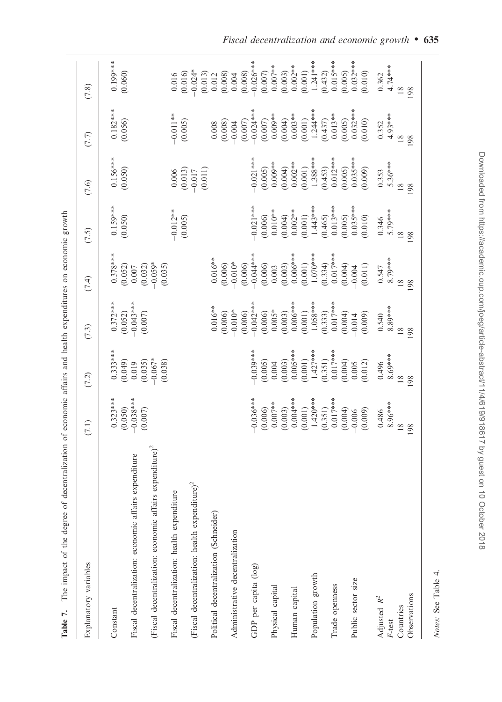| of decentralization of economic affairs and health expenditures on economic growth<br>The impact of the degree<br>Table 7. |                                   |                                 |                                   |                                                   |                       |                                                                      |                       |                                 |
|----------------------------------------------------------------------------------------------------------------------------|-----------------------------------|---------------------------------|-----------------------------------|---------------------------------------------------|-----------------------|----------------------------------------------------------------------|-----------------------|---------------------------------|
| Explanatory variables                                                                                                      | (7.1)                             | (7.2)                           | (7.3)                             | (7.4)                                             | (7.5)                 | (7.6)                                                                | (7.7)                 | (7.8)                           |
| Constant                                                                                                                   | $0.323***$                        | $0.333***$<br>(0.049)           | $0.372***$                        |                                                   | $0.159***$            | $0.156***$<br>$(0.050)$                                              | $0.182***$<br>(0.056) | $0.199***$                      |
| Fiscal decentralization: economic affairs expenditure                                                                      | $-0.038***$<br>(0.050)<br>(0.007) | 0.019                           | $(0.052)$<br>-0.043***<br>(0.007) | 0.378***<br>(0.052)<br>0.007<br>0.032)<br>(0.059* | (0.050)               |                                                                      |                       | (0.060)                         |
| (Fiscal decentralization: economic affairs expenditure) <sup>2</sup>                                                       |                                   | $(0.035)$<br>-0.067*<br>(0.038) |                                   | (0.035)                                           |                       |                                                                      |                       |                                 |
| Fiscal decentralization: health expenditure                                                                                |                                   |                                 |                                   |                                                   | $-0.012**$<br>(0.005) |                                                                      | $-0.011**$            | 0.016                           |
| (Fiscal decentralization: health expenditure) <sup>2</sup>                                                                 |                                   |                                 |                                   |                                                   |                       | (0.011)<br>$\begin{array}{c} 0.006 \\ (0.013) \\ -0.017 \end{array}$ | (0.005)               | $-0.024*$<br>(0.016)<br>(0.013) |
| Political decentralization (Schneider)                                                                                     |                                   |                                 | $0.016**$                         | $0.016**$                                         |                       |                                                                      | $0.008\,$             | $0.012\,$                       |
|                                                                                                                            |                                   |                                 | (0.006)                           | (0.006)                                           |                       |                                                                      | (0.008)               | (0.008)                         |
| Administrative decentralization                                                                                            |                                   |                                 | $-0.010*$<br>(0.006)              | $-0.010*$<br>(0.006)                              |                       |                                                                      | (0.007)<br>$-0.004$   | (0.008)<br>$0.004$              |
| GDP per capita (log)                                                                                                       | $-0.036***$                       | $-0.039***$                     | $-0.042***$                       | $-0.044***$                                       | $-0.021$ ***          | $-0.021***$                                                          | $-0.024***$           | $-0.026***$                     |
|                                                                                                                            | (0.006)                           | (0.005)                         | (0.006)                           | (0.006)                                           | (0.006)               | (0.005)                                                              | (0.007)               | $(0.007)$                       |
| Physical capital                                                                                                           | $0.007***$                        | 0.004                           | $0.005*$                          | 0.003                                             | $0.010**$             | $0.009**$                                                            | $0.009**$             | $0.007***$                      |
|                                                                                                                            | (0.003)                           | (0.003)                         | (0.003)                           | (0.003)                                           | (0.004)               | (0.004)                                                              | (0.004)               | (0.003)                         |
| Human capital                                                                                                              | $0.004***$<br>(0.001)             | $0.005***$<br>(0.001)           | $0.006***$<br>(0.001)             | $0.006***$<br>(0.001)                             | $0.002**$<br>(0.001)  | $0.002**$<br>(0.001)                                                 | $0.003**$             | $0.002***$                      |
| Population growth                                                                                                          | $1.420***$                        | $1.427***$                      | $1.058***$                        | $1.070***$                                        | $1.443***$            | $1.388***$                                                           | $(0.001)$<br>1.244*** | $(0.001)$<br>1.241***           |
|                                                                                                                            | (0.351)                           | (0.351)                         | (0.333)                           | (0.334)                                           | (0.465)               | (0.453)                                                              | $(0.437)$<br>0.013**  | (0.432)                         |
| Trade openness                                                                                                             | $0.017***$<br>(0.004)             | $0.017***$<br>(0.004)           | $0.017***$<br>(0.004)             | $0.017***$                                        | $0.013***$<br>(0.005) | $0.012***$<br>(0.005)                                                | (0.005)               | $0.015***$<br>(0.005)           |
| Public sector size                                                                                                         | $-0.006$                          | 0.005                           | $-0.014$                          | (0.004)<br>$-0.004$                               | $0.035***$            | $0.035***$                                                           | $0.032***$            | $0.032***$                      |
|                                                                                                                            | (0.009)                           | (0.012)                         | (0.009)                           | (0.011)                                           | (0.010)               | (0.009)                                                              | (0.010)               | (0.010)                         |
| Adjusted $R^2$                                                                                                             | 0.486                             | 0.496                           | 0.540                             | 0.547                                             | 0.346                 | 0.353                                                                | 0.352                 | 0.362                           |
| $F\text{-test}$                                                                                                            | $8.96***$                         | 8.69***                         | 8.89****                          | 8.79****                                          | 5.79***               | $5.36***$                                                            | 4.93***               | 4.74***                         |
| Countries                                                                                                                  | 18                                | $\frac{8}{18}$                  | $\overline{18}$                   | $\overline{18}$                                   | $\frac{8}{18}$        | $\overline{18}$                                                      | $\overline{18}$       | $\overline{18}$                 |
| Observations                                                                                                               | 198                               | 198                             | 198                               | 198                                               | 198                   | 198                                                                  | 198                   | 198                             |
|                                                                                                                            |                                   |                                 |                                   |                                                   |                       |                                                                      |                       |                                 |

Notes: See Table 4. Notes: See Table 4.

Downloaded from https://academic.oup.com/joeg/article-abstract/11/4/619/918617 by guest on 10 October 2018 Downloaded from https://academ[ic](http://joeg.oxfordjournals.org/).[oup](http://joeg.oxfordjournals.org/).[com/joeg/article](http://joeg.oxfordjournals.org/)-[abstr](http://joeg.oxfordjournals.org/)act/11/4/619/918617 by guest on 10 October 2018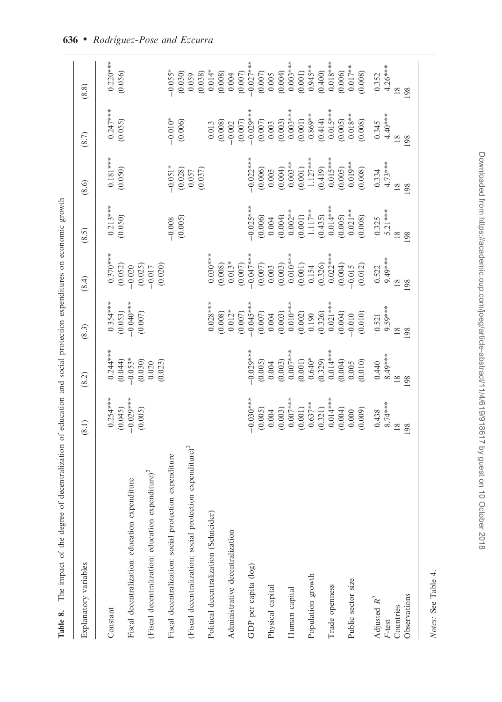| Explanatory variables                                                 | (8.1)                 | (8.2)                                                      | (8.3)                              | (8.4)                              | (8.5)                   | (8.6)                          | (8.7)                 | (8.8)                 |
|-----------------------------------------------------------------------|-----------------------|------------------------------------------------------------|------------------------------------|------------------------------------|-------------------------|--------------------------------|-----------------------|-----------------------|
|                                                                       |                       |                                                            |                                    |                                    |                         |                                |                       |                       |
| Constant                                                              | $0.254***$            | $0.244***$                                                 | $0.354***$                         |                                    | $0.213***$              | $0.181***$                     | $0.247***$            | $0.220***$            |
| Fiscal decentralization: education expenditure                        | $-0.029**$<br>(0.045) | $-0.053*$<br>(0.044)                                       | $(0.053)$<br>-0.040***             | $0.370***$<br>(0.052)<br>-0.020    | (0.050)                 | (0.050)                        | (0.055)               | (0.056)               |
| (Fiscal decentralization: education expenditure) <sup>2</sup>         | (0.005)               | $\begin{array}{c} (0.030) \\ 0.020 \\ (0.023) \end{array}$ | (0.007)                            | (0.020)<br>(0.025)                 |                         |                                |                       |                       |
| Fiscal decentralization: social protection expenditure                |                       |                                                            |                                    |                                    | $-0.008$<br>(0.005)     |                                | $-0.010*$             | $-0.055*$             |
| (Fiscal decentralization: social protection expenditure) <sup>2</sup> |                       |                                                            |                                    |                                    |                         | $-0.051*$<br>(0.028)<br>0.057  | (0.006)               | $(0.030)$<br>0.059    |
| Political decentralization (Schneider)                                |                       |                                                            | $0.028***$                         | $0.030***$                         |                         | (0.037)                        | 0.013                 | $0.014*$<br>(0.038)   |
|                                                                       |                       |                                                            | (0.008)                            | (0.008)                            |                         |                                | (0.008)               | (0.008)               |
| Administrative decentralization                                       |                       |                                                            | $0.012*$                           | $0.013*$                           |                         |                                | $-0.002$              | 0.004                 |
|                                                                       |                       |                                                            | (0.007)                            | (0.007)                            |                         |                                | (0.007)               | (0.007)               |
| GDP per capita (log)                                                  | $-0.030**$            | $-0.029***$                                                | $-0.045***$                        | $-0.047***$                        | $-0.025***$             | $-0.022***$                    | $-0.029***$           | $-0.027***$           |
|                                                                       | (0.005)               | (0.005)                                                    | (0.007)                            | (0.007)                            | (0.006)                 | (0.006)                        | (0.007)               | (0.007)               |
| Physical capital                                                      | 0.004                 | 0.004                                                      | 0.004                              | 0.003                              | 0.004                   | 0.005                          | 0.003                 | 0.005                 |
|                                                                       | (0.003)               | (0.003)                                                    | (0.003)                            | (0.003)                            | (0.004)                 | (0.004)                        | (0.003)               | (0.004)               |
| Human capital                                                         | $0.007***$<br>(0.001) | $0.007***$<br>(0.001)                                      | $0.010***$<br>(0.002)              | $0.010***$<br>(0.001)              | $0.002**$<br>(0.001)    | $0.003**$<br>(0.001)           | $0.003***$<br>(0.001) | $0.003***$<br>(0.001) |
| Population growth                                                     | $0.637**$             | $0.640*$                                                   | 0.190                              | 0.154                              | $1.117**$               | $1.127***$                     | $0.869**$             | $0.945***$            |
|                                                                       | (0.321)               | (0.329)                                                    | $(0.326)$<br>$0.021***$            | $(0.326)$<br>$0.022***$            | (0.435)                 | (0.419)                        | (0.414)               | (0.400)               |
| Trade openness                                                        | $0.014***$            | $0.014***$                                                 |                                    |                                    | $0.014***$              | $0.015***$                     | $0.015***$            | $0.018***$            |
|                                                                       | (0.004)               |                                                            |                                    |                                    | $(0.005)$<br>$0.021***$ |                                | $(0.005)$<br>0.018**  | $(0.006)$<br>0.017**  |
| Public sector size                                                    | $0.000$               | $(0.004)$<br>0.005<br>0.010)                               | $(0.004)$<br>$-0.010$<br>$(0.010)$ | $(0.004)$<br>$-0.015$<br>$(0.012)$ |                         | $(0.005)$<br>0.019**<br>0.008) |                       |                       |
|                                                                       | (0.009)               |                                                            |                                    |                                    | (0.008)                 |                                | (0.008)               | (0.008)               |
| Adjusted $R^2$                                                        | 0.438                 | 0.440                                                      | 0.521                              | 0.522                              | 0.325                   | 0.334                          | 0.345                 | 0.352                 |
| $F\text{-test}$                                                       | $8.74***$             | 8.49****                                                   | $9.59***$                          | $9.49***$                          | 5.21 ***                | $4.73***$                      | $4.40***$             | $4.26***$             |
| Countries                                                             | 18                    | 18                                                         | $\overline{18}$                    | $\frac{8}{2}$                      | $\overline{8}$          | $\frac{8}{18}$                 | $\frac{8}{2}$         | 18                    |
| Observations                                                          | 198                   | 198                                                        | 198                                | 198                                | 198                     | 198                            | 198                   | 198                   |
|                                                                       |                       |                                                            |                                    |                                    |                         |                                |                       |                       |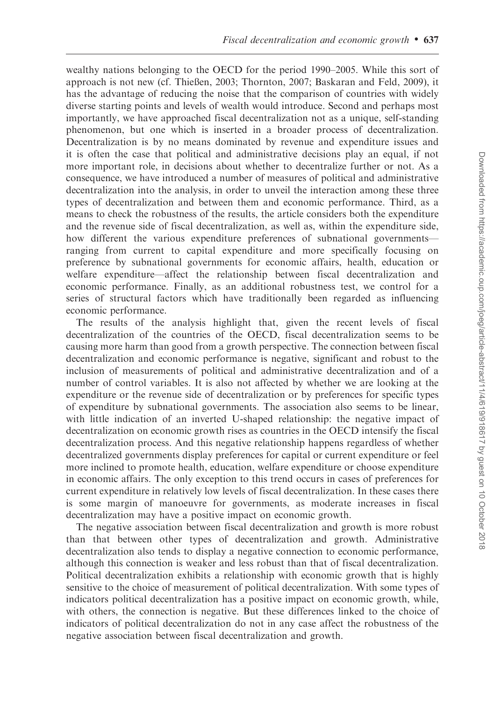wealthy nations belonging to the OECD for the period 1990–2005. While this sort of approach is not new (cf. Thießen, 2003; Thornton, 2007; Baskaran and Feld, 2009), it has the advantage of reducing the noise that the comparison of countries with widely diverse starting points and levels of wealth would introduce. Second and perhaps most importantly, we have approached fiscal decentralization not as a unique, self-standing phenomenon, but one which is inserted in a broader process of decentralization. Decentralization is by no means dominated by revenue and expenditure issues and it is often the case that political and administrative decisions play an equal, if not more important role, in decisions about whether to decentralize further or not. As a consequence, we have introduced a number of measures of political and administrative decentralization into the analysis, in order to unveil the interaction among these three types of decentralization and between them and economic performance. Third, as a means to check the robustness of the results, the article considers both the expenditure and the revenue side of fiscal decentralization, as well as, within the expenditure side, how different the various expenditure preferences of subnational governments ranging from current to capital expenditure and more specifically focusing on preference by subnational governments for economic affairs, health, education or welfare expenditure—affect the relationship between fiscal decentralization and economic performance. Finally, as an additional robustness test, we control for a series of structural factors which have traditionally been regarded as influencing economic performance.

The results of the analysis highlight that, given the recent levels of fiscal decentralization of the countries of the OECD, fiscal decentralization seems to be causing more harm than good from a growth perspective. The connection between fiscal decentralization and economic performance is negative, significant and robust to the inclusion of measurements of political and administrative decentralization and of a number of control variables. It is also not affected by whether we are looking at the expenditure or the revenue side of decentralization or by preferences for specific types of expenditure by subnational governments. The association also seems to be linear, with little indication of an inverted U-shaped relationship: the negative impact of decentralization on economic growth rises as countries in the OECD intensify the fiscal decentralization process. And this negative relationship happens regardless of whether decentralized governments display preferences for capital or current expenditure or feel more inclined to promote health, education, welfare expenditure or choose expenditure in economic affairs. The only exception to this trend occurs in cases of preferences for current expenditure in relatively low levels of fiscal decentralization. In these cases there is some margin of manoeuvre for governments, as moderate increases in fiscal decentralization may have a positive impact on economic growth.

The negative association between fiscal decentralization and growth is more robust than that between other types of decentralization and growth. Administrative decentralization also tends to display a negative connection to economic performance, although this connection is weaker and less robust than that of fiscal decentralization. Political decentralization exhibits a relationship with economic growth that is highly sensitive to the choice of measurement of political decentralization. With some types of indicators political decentralization has a positive impact on economic growth, while, with others, the connection is negative. But these differences linked to the choice of indicators of political decentralization do not in any case affect the robustness of the negative association between fiscal decentralization and growth.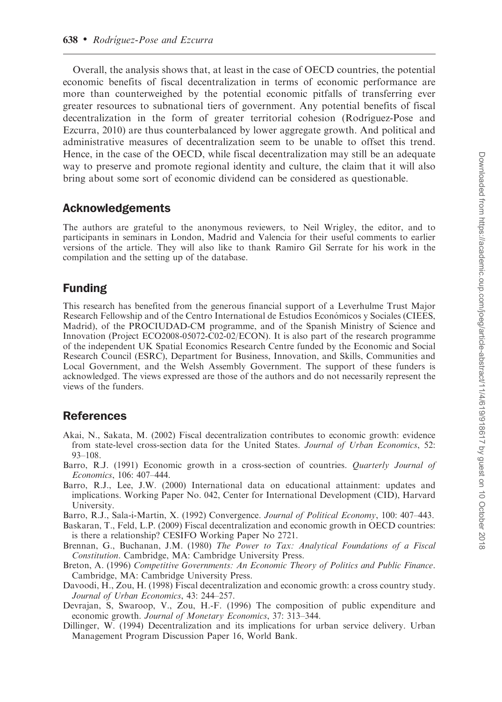Overall, the analysis shows that, at least in the case of OECD countries, the potential economic benefits of fiscal decentralization in terms of economic performance are more than counterweighed by the potential economic pitfalls of transferring ever greater resources to subnational tiers of government. Any potential benefits of fiscal decentralization in the form of greater territorial cohesion (Rodríguez-Pose and Ezcurra, 2010) are thus counterbalanced by lower aggregate growth. And political and administrative measures of decentralization seem to be unable to offset this trend. Hence, in the case of the OECD, while fiscal decentralization may still be an adequate way to preserve and promote regional identity and culture, the claim that it will also bring about some sort of economic dividend can be considered as questionable.

### Acknowledgements

The authors are grateful to the anonymous reviewers, to Neil Wrigley, the editor, and to participants in seminars in London, Madrid and Valencia for their useful comments to earlier versions of the article. They will also like to thank Ramiro Gil Serrate for his work in the compilation and the setting up of the database.

## Funding

This research has benefited from the generous financial support of a Leverhulme Trust Major Research Fellowship and of the Centro International de Estudios Económicos y Sociales (CIEES, Madrid), of the PROCIUDAD-CM programme, and of the Spanish Ministry of Science and Innovation (Project ECO2008-05072-C02-02/ECON). It is also part of the research programme of the independent UK Spatial Economics Research Centre funded by the Economic and Social Research Council (ESRC), Department for Business, Innovation, and Skills, Communities and Local Government, and the Welsh Assembly Government. The support of these funders is acknowledged. The views expressed are those of the authors and do not necessarily represent the views of the funders.

## References

- Akai, N., Sakata, M. (2002) Fiscal decentralization contributes to economic growth: evidence from state-level cross-section data for the United States. Journal of Urban Economics, 52: 93–108.
- Barro, R.J. (1991) Economic growth in a cross-section of countries. *Quarterly Journal of* Economics, 106: 407–444.
- Barro, R.J., Lee, J.W. (2000) International data on educational attainment: updates and implications. Working Paper No. 042, Center for International Development (CID), Harvard University.
- Barro, R.J., Sala-i-Martin, X. (1992) Convergence. Journal of Political Economy, 100: 407–443.
- Baskaran, T., Feld, L.P. (2009) Fiscal decentralization and economic growth in OECD countries: is there a relationship? CESIFO Working Paper No 2721.
- Brennan, G., Buchanan, J.M. (1980) The Power to Tax: Analytical Foundations of a Fiscal Constitution. Cambridge, MA: Cambridge University Press.
- Breton, A. (1996) Competitive Governments: An Economic Theory of Politics and Public Finance. Cambridge, MA: Cambridge University Press.
- Davoodi, H., Zou, H. (1998) Fiscal decentralization and economic growth: a cross country study. Journal of Urban Economics, 43: 244–257.
- Devrajan, S, Swaroop, V., Zou, H.-F. (1996) The composition of public expenditure and economic growth. Journal of Monetary Economics, 37: 313–344.
- Dillinger, W. (1994) Decentralization and its implications for urban service delivery. Urban Management Program Discussion Paper 16, World Bank.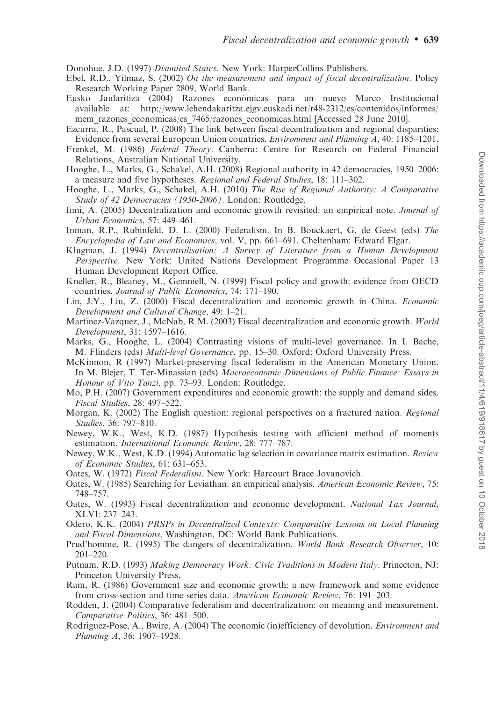Donohue, J.D. (1997) Disunited States. New York: HarperCollins Publishers.

- Ebel, R.D., Yilmaz, S. (2002) On the measurement and impact of fiscal decentralization. Policy Research Working Paper 2809, World Bank.
- Eusko Jaularitiza (2004) Razones econo´micas para un nuevo Marco Institucional available at: http://www.lehendakaritza.ejgv.euskadi.net/r48-2312/es/contenidos/informes/ mem\_razones\_economicas/es\_7465/razones\_economicas.html [Accessed 28 June 2010].
- Ezcurra, R., Pascual, P. (2008) The link between fiscal decentralization and regional disparities: Evidence from several European Union countries. Environment and Planning A, 40: 1185–1201.
- Frenkel, M. (1986) Federal Theory. Canberra: Centre for Research on Federal Financial Relations, Australian National University.
- Hooghe, L., Marks, G., Schakel, A.H. (2008) Regional authority in 42 democracies, 1950–2006: a measure and five hypotheses. Regional and Federal Studies, 18: 111–302.
- Hooghe, L., Marks, G., Schakel, A.H. (2010) The Rise of Regional Authority: A Comparative Study of 42 Democracies (1950-2006). London: Routledge.
- Iimi, A. (2005) Decentralization and economic growth revisited: an empirical note. Journal of Urban Economics, 57: 449–461.
- Inman, R.P., Rubinfeld, D. L. (2000) Federalism. In B. Bouckaert, G. de Geest (eds) The Encyclopedia of Law and Economics, vol. V, pp. 661–691. Cheltenham: Edward Elgar.
- Klugman, J. (1994) Decentralisation: A Survey of Literature from a Human Development Perspective. New York: United Nations Development Programme Occasional Paper 13 Human Development Report Office.
- Kneller, R., Bleaney, M., Gemmell, N. (1999) Fiscal policy and growth: evidence from OECD countries. Journal of Public Economics, 74: 171–190.
- Lin, J.Y., Liu, Z. (2000) Fiscal decentralization and economic growth in China. Economic Development and Cultural Change, 49: 1–21.
- Martínez-Vázquez, J., McNab, R.M. (2003) Fiscal decentralization and economic growth. World Development, 31: 1597–1616.
- Marks, G., Hooghe, L. (2004) Contrasting visions of multi-level governance. In I. Bache, M. Flinders (eds) Multi-level Governance, pp. 15–30. Oxford: Oxford University Press.
- McKinnon, R (1997) Market-preserving fiscal federalism in the American Monetary Union. In M. Blejer, T. Ter-Minassian (eds) Macroeconomic Dimensions of Public Finance: Essays in Honour of Vito Tanzi, pp. 73–93. London: Routledge.
- Mo, P.H. (2007) Government expenditures and economic growth: the supply and demand sides. Fiscal Studies, 28: 497–522.
- Morgan, K. (2002) The English question: regional perspectives on a fractured nation. Regional Studies, 36: 797–810.
- Newey, W.K., West, K.D. (1987) Hypothesis testing with efficient method of moments estimation. International Economic Review, 28: 777–787.
- Newey, W.K., West, K.D. (1994) Automatic lag selection in covariance matrix estimation. Review of Economic Studies, 61: 631–653.
- Oates, W. (1972) Fiscal Federalism. New York: Harcourt Brace Jovanovich.
- Oates, W. (1985) Searching for Leviathan: an empirical analysis. American Economic Review, 75: 748–757.
- Oates, W. (1993) Fiscal decentralization and economic development. National Tax Journal, XLVI: 237–243.
- Odero, K.K. (2004) PRSPs in Decentralized Contexts: Comparative Lessons on Local Planning and Fiscal Dimensions, Washington, DC: World Bank Publications.
- Prud'homme, R. (1995) The dangers of decentralization. World Bank Research Observer, 10: 201–220.
- Putnam, R.D. (1993) Making Democracy Work: Civic Traditions in Modern Italy. Princeton, NJ: Princeton University Press.
- Ram, R. (1986) Government size and economic growth: a new framework and some evidence from cross-section and time series data. American Economic Review, 76: 191–203.
- Rodden, J. (2004) Comparative federalism and decentralization: on meaning and measurement. Comparative Politics, 36: 481–500.
- Rodríguez-Pose, A., Bwire, A. (2004) The economic (in)efficiency of devolution. *Environment and* Planning A, 36: 1907–1928.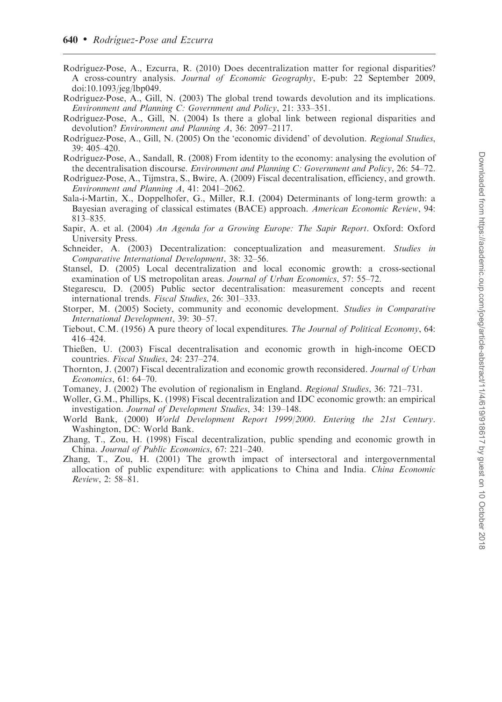- Rodríguez-Pose, A., Ezcurra, R. (2010) Does decentralization matter for regional disparities? A cross-country analysis. Journal of Economic Geography, E-pub: 22 September 2009, doi:10.1093/jeg/lbp049.
- Rodríguez-Pose, A., Gill, N. (2003) The global trend towards devolution and its implications. Environment and Planning C: Government and Policy, 21: 333–351.
- Rodríguez-Pose, A., Gill, N. (2004) Is there a global link between regional disparities and devolution? Environment and Planning A, 36: 2097–2117.
- Rodríguez-Pose, A., Gill, N. (2005) On the 'economic dividend' of devolution. Regional Studies, 39: 405–420.
- Rodríguez-Pose, A., Sandall, R. (2008) From identity to the economy: analysing the evolution of the decentralisation discourse. Environment and Planning C: Government and Policy, 26: 54–72.
- Rodríguez-Pose, A., Tijmstra, S., Bwire, A. (2009) Fiscal decentralisation, efficiency, and growth. Environment and Planning A, 41: 2041–2062.
- Sala-i-Martin, X., Doppelhofer, G., Miller, R.I. (2004) Determinants of long-term growth: a Bayesian averaging of classical estimates (BACE) approach. American Economic Review, 94: 813–835.
- Sapir, A. et al. (2004) An Agenda for a Growing Europe: The Sapir Report. Oxford: Oxford University Press.
- Schneider, A. (2003) Decentralization: conceptualization and measurement. Studies in Comparative International Development, 38: 32–56.
- Stansel, D. (2005) Local decentralization and local economic growth: a cross-sectional examination of US metropolitan areas. Journal of Urban Economics, 57: 55–72.
- Stegarescu, D. (2005) Public sector decentralisation: measurement concepts and recent international trends. Fiscal Studies, 26: 301–333.
- Storper, M. (2005) Society, community and economic development. Studies in Comparative International Development, 39: 30–57.
- Tiebout, C.M. (1956) A pure theory of local expenditures. The Journal of Political Economy, 64: 416–424.
- Thießen, U. (2003) Fiscal decentralisation and economic growth in high-income OECD countries. Fiscal Studies, 24: 237–274.
- Thornton, J. (2007) Fiscal decentralization and economic growth reconsidered. Journal of Urban Economics, 61: 64–70.
- Tomaney, J. (2002) The evolution of regionalism in England. Regional Studies, 36: 721–731.
- Woller, G.M., Phillips, K. (1998) Fiscal decentralization and IDC economic growth: an empirical investigation. Journal of Development Studies, 34: 139–148.
- World Bank, (2000) World Development Report 1999/2000. Entering the 21st Century. Washington, DC: World Bank.
- Zhang, T., Zou, H. (1998) Fiscal decentralization, public spending and economic growth in China. Journal of Public Economics, 67: 221–240.
- Zhang, T., Zou, H. (2001) The growth impact of intersectoral and intergovernmental allocation of public expenditure: with applications to China and India. China Economic Review, 2: 58–81.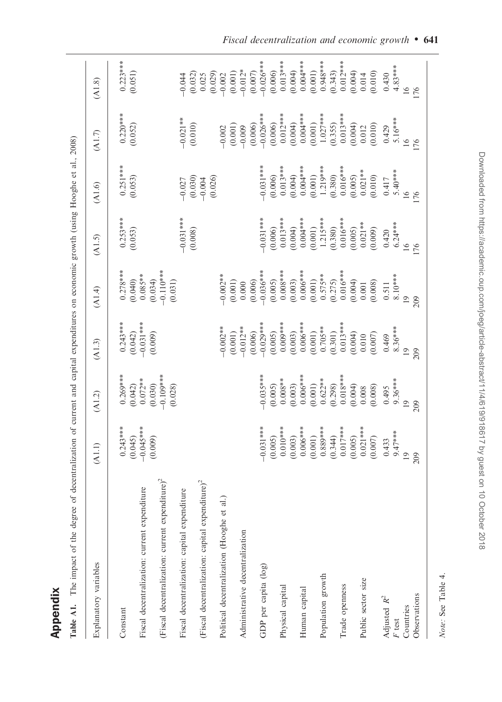| 3<br>I                                  |
|-----------------------------------------|
|                                         |
| j                                       |
| ٩<br>$\frac{1}{2}$                      |
| 5<br>ï<br>j<br>$\overline{\phantom{a}}$ |
| l<br>į<br>í                             |
| i<br>i                                  |
| į                                       |
| $\sim$ v v $\sim$<br>è                  |
| ör                                      |
| om                                      |
| l<br>ł                                  |
| ġ<br>ã                                  |
| į                                       |
|                                         |
| ١<br>j<br>ļ                             |
| l                                       |
| į<br>š                                  |
| ł                                       |
|                                         |
| Ì                                       |
| Ξ                                       |
| i<br>j                                  |
|                                         |
| i<br>Ï                                  |
| j<br>Ş                                  |
| $\ddot{ }$                              |
| ì                                       |
| č                                       |
| $\ddot{\phantom{a}}$<br>$\overline{a}$  |
| Í                                       |
|                                         |
|                                         |
| į<br>Ì<br>י<br>וו                       |
| î<br>$\frac{1}{2}$                      |
| į                                       |
| į                                       |
| j                                       |
| ì<br>t<br>I                             |

| Explanatory variables                                       | (A1.1)                             | (A1.2)                           | (A1.3)                                                                                                  | (A1.4)                                                                                | (A1.5)                                                | (A1.6)                                                                                                          | (A1.7)                                                                                                   | (A1.8)                  |
|-------------------------------------------------------------|------------------------------------|----------------------------------|---------------------------------------------------------------------------------------------------------|---------------------------------------------------------------------------------------|-------------------------------------------------------|-----------------------------------------------------------------------------------------------------------------|----------------------------------------------------------------------------------------------------------|-------------------------|
| Constant                                                    | $0.243***$<br>(0.045)<br>-0.045*** | $0.269***$<br>(0.042)<br>0.072** | $0.243***$<br>(0.042)<br>-0.031***                                                                      | $0.278***$<br>(0.040)<br>(0.085**                                                     | $0.253***$<br>(0.053)                                 | $0.251***$<br>(0.053)                                                                                           | $0.220***$<br>$(0.052)$                                                                                  | $0.223***$<br>$(0.051)$ |
| Fiscal decentralization: current expenditure                | (0.009)                            | (0.030)                          | (0.009)                                                                                                 | (0.034)                                                                               |                                                       |                                                                                                                 |                                                                                                          |                         |
| (Fiscal decentralization: current expenditure) <sup>2</sup> |                                    | $-0.109***$<br>(0.028)           |                                                                                                         | $-0.11$<br>(0.031)                                                                    |                                                       |                                                                                                                 |                                                                                                          |                         |
| Fiscal decentralization: capital expenditure                |                                    |                                  |                                                                                                         |                                                                                       | $-0.031***$                                           |                                                                                                                 | $-0.021**$                                                                                               | $-0.044$                |
|                                                             |                                    |                                  |                                                                                                         |                                                                                       | (0.008)                                               |                                                                                                                 | (0.010)                                                                                                  | $(0.032)$<br>$0.025$    |
| (Fiscal decentralization: capital expenditure) <sup>2</sup> |                                    |                                  |                                                                                                         |                                                                                       |                                                       | $-0.027$<br>$(0.030)$<br>$-0.004$<br>$(0.026)$                                                                  |                                                                                                          | (0.029)                 |
| Political decentralization (Hooghe et al.)                  |                                    |                                  | $-0.002**$                                                                                              | $-0.002**$                                                                            |                                                       |                                                                                                                 |                                                                                                          | $-0.002$                |
|                                                             |                                    |                                  | (0.001)                                                                                                 | $(0.001)$<br>$0.000$                                                                  |                                                       |                                                                                                                 | $-0.002$<br>$(0.001)$<br>$-0.009$                                                                        | (0.001)                 |
| Administrative decentralization                             |                                    |                                  | $-0.012**$                                                                                              |                                                                                       |                                                       |                                                                                                                 |                                                                                                          | $-0.012*$               |
|                                                             |                                    |                                  | $(0.006)$<br>-0.029***                                                                                  | $(0.006)$<br>-0.036***                                                                |                                                       |                                                                                                                 | $\begin{array}{l} (0.006) \\ -0.026^{***} \\ (0.006) \\ 0.012^{***} \\ (0.004) \\ (0.004)^* \end{array}$ | $(0.007)$<br>-0.026***  |
| GDP per capita (log)                                        | $-0.031***$                        | $-0.035***$                      |                                                                                                         |                                                                                       | $-0.031***$                                           | $-0.031***$                                                                                                     |                                                                                                          |                         |
|                                                             | (0.005)                            | (0.005)                          | $(0.005)$<br>0.009***                                                                                   | (0.005)                                                                               | (0.006)                                               | $(0.006)$<br>0.013***                                                                                           |                                                                                                          | (0.006)                 |
| Physical capital                                            | $0.010^{***}$                      | $0.008**$                        |                                                                                                         | $0.008***$                                                                            | $0.013***$                                            |                                                                                                                 |                                                                                                          | $0.013***$              |
|                                                             | (0.003)                            | (0.003)                          | (0.003)                                                                                                 | (0.003)                                                                               | (0.004)                                               | (0.004)                                                                                                         |                                                                                                          | (0.004)                 |
| Human capital                                               | $0.006$ ***                        | $0.006***$                       | $0.006***$                                                                                              | $0.006***$                                                                            | $0.001***$                                            | $0.001***$                                                                                                      |                                                                                                          | $0.004***$              |
| Population growth                                           | $0.889***$<br>(0.001)              | $0.622***$<br>(0.001)            | $\begin{array}{c} (0.001) \\ 0.705^{**} \\ (0.301) \\ 0.013^{***} \\ (0.004) \\ (0.004) \\ \end{array}$ | $\begin{array}{c} (0.001)\\0.575^{**}\\(0.275)\\0.016^{***}\\0.004\\0.004\end{array}$ | (0.001)                                               | $\begin{array}{c} (0.001) \\ 1.219*** \\ (0.380) \\ 0.016*** \\ (0.005) \\ (0.005) \\ (0.001*** \\ \end{array}$ | $(0.001)$<br>$1.027***$<br>$(0.355)$<br>$0.013***$<br>$0.004$<br>$0.004$                                 | $0.948***$<br>(0.001)   |
|                                                             | $(0.344)$<br>0.017***              | (0.298)                          |                                                                                                         |                                                                                       | 1.215***<br>(0.380)<br>0.016***<br>(0.005)<br>0.021** |                                                                                                                 |                                                                                                          | $(0.343)$<br>0.012***   |
| Trade openness                                              |                                    | $0.018***$<br>(0.004)            |                                                                                                         |                                                                                       |                                                       |                                                                                                                 |                                                                                                          |                         |
|                                                             | (0.005)                            |                                  |                                                                                                         |                                                                                       |                                                       |                                                                                                                 |                                                                                                          | $(0.004)$<br>0.014      |
| Public sector size                                          | $0.021***$                         | 0.008                            |                                                                                                         |                                                                                       |                                                       |                                                                                                                 |                                                                                                          |                         |
|                                                             | (0.007)                            | (0.008)                          | (0.007)                                                                                                 | (0.008)                                                                               | (0.009)                                               | (0.010)                                                                                                         | (0.010)                                                                                                  | (0.010)                 |
| Adjusted $R^2$                                              | 0.433                              | 0.495                            | 0.469                                                                                                   | 0.511                                                                                 | 0.420                                                 | 0.417                                                                                                           | 0.429                                                                                                    | 0.430                   |
| F test                                                      | $9.47***$                          | $9.36***$                        | $8.36***$                                                                                               | $8.10***$                                                                             | $6.24***$                                             | $5.40***$                                                                                                       | $5.16***$                                                                                                | $4.83***$               |
| Countries                                                   |                                    | $\overline{19}$                  | $\overline{19}$                                                                                         | $\overline{19}$                                                                       | $\overline{16}$                                       | 16<br>176                                                                                                       | <b>16</b><br>176                                                                                         | $\overline{16}$         |
| Observations                                                | 209                                | 209                              | 209                                                                                                     | 209                                                                                   | 176                                                   |                                                                                                                 |                                                                                                          | 176                     |
|                                                             |                                    |                                  |                                                                                                         |                                                                                       |                                                       |                                                                                                                 |                                                                                                          |                         |

Downloaded from https://academic.oup.com/joeg/article-abstract/1/4/619/918617 by guest on 10 October 2018 Downloaded from https://academ[ic](http://joeg.oxfordjournals.org/).[oup](http://joeg.oxfordjournals.org/).[com/joeg/article](http://joeg.oxfordjournals.org/)-[abstr](http://joeg.oxfordjournals.org/)act/11/4/619/918617 by guest on 10 October 2018

Fiscal decentralization and economic growth  $\bullet$  641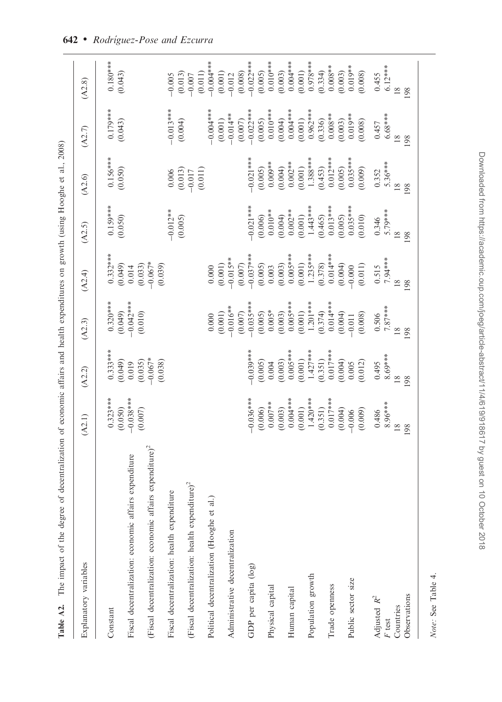| The impact of the degree of decentralization of economic affairs and health expenditures on growth (using Hooghe et al., 2008)<br>Table A2. |                                   |                                 |                                   |                                 |                       |                                   |                         |                                |
|---------------------------------------------------------------------------------------------------------------------------------------------|-----------------------------------|---------------------------------|-----------------------------------|---------------------------------|-----------------------|-----------------------------------|-------------------------|--------------------------------|
| Explanatory variables                                                                                                                       | (A2.1)                            | (A2.2)                          | (A2.3)                            | (A2.4)                          | (A2.5)                | (A2.6)                            | (A2.7)                  | (A2.8)                         |
| Constant                                                                                                                                    | $0.323***$                        | $0.333***$                      | $0.320***$                        |                                 | $0.159***$            | $0.156***$<br>(0.050)             | $0.179***$              | $0.180***$                     |
| Fiscal decentralization: economic affairs expenditure                                                                                       | $-0.038***$<br>(0.050)<br>(0.007) | (0.049)<br>0.019                | $-0.042***$<br>(0.049)<br>(0.010) | $0.332***$<br>(0.049)<br>0.014  | (0.050)               |                                   | (0.043)                 | (0.043)                        |
| (Fiscal decentralization: economic affairs expenditure) <sup>2</sup>                                                                        |                                   | $(0.035)$<br>-0.067*<br>(0.038) |                                   | $(0.033)$<br>-0.067*<br>(0.039) |                       |                                   |                         |                                |
| Fiscal decentralization: health expenditure                                                                                                 |                                   |                                 |                                   |                                 | $-0.012**$<br>(0.005) |                                   | $-0.013***$             | $-0.005$                       |
| (Fiscal decentralization: health expenditure) <sup>2</sup>                                                                                  |                                   |                                 |                                   |                                 |                       | (0.011)<br>$(0.006$<br>$(-0.013)$ | (0.004)                 | (0.013)<br>(0.011)<br>$-0.007$ |
| $\widehat{a}$<br>Political decentralization (Hooghe et                                                                                      |                                   |                                 | 0.000                             | $0.000\,$                       |                       |                                   | $-0.004***$             | $-0.000$                       |
|                                                                                                                                             |                                   |                                 | (0.001)                           | (0.001)                         |                       |                                   | (0.001)                 | (0.001)                        |
| Administrative decentralization                                                                                                             |                                   |                                 | $-0.016**$<br>(0.007)             | $-0.015**$<br>(0.007)           |                       |                                   | $-0.014**$<br>(0.007)   | (0.008)<br>$-0.012$            |
| GDP per capita (log)                                                                                                                        | $-0.036***$                       | $-0.039***$                     | $-0.035***$                       | $-0.037***$                     | $-0.021***$           | $-0.021***$                       | $-0.022$ ***            | $-0.022***$                    |
|                                                                                                                                             | (0.006)                           | (0.005)                         | (0.005)                           | (0.005)                         | (0.006)               | (0.005)                           | (0.005)                 | (0.005)                        |
| Physical capital                                                                                                                            | $0.007**$                         | 0.004                           | $0.005*$                          | 0.003                           | $0.010**$             | $0.009**$                         | $0.010***$              | $0.010***$                     |
|                                                                                                                                             | (0.003)                           | (0.003)                         | (0.003)                           | (0.003)                         | (0.004)               | (0.004)                           | (0.004)                 | (0.003)                        |
| Human capital                                                                                                                               | $0.004***$<br>(0.001)             | $0.005***$<br>(0.001)           | $0.005***$<br>(0.001)             | $0.005***$                      | $0.002**$<br>(0.001)  | $0.002**$<br>(0.001)              | $0.004***$<br>$(0.001)$ | $0.004***$                     |
| Population growth                                                                                                                           | $1.420***$                        | $1.427***$                      | $1.201***$                        | $(0.001)$<br>1.235***           | $1.443***$            | $1.388***$                        | $0.962***$              | $(0.001)$<br>0.978***          |
|                                                                                                                                             | $0.017***$<br>(0.351)             | $0.017***$<br>(0.351)           | $0.014***$<br>(0.374)             | $0.014***$<br>(0.378)           | $0.013***$<br>(0.465) | $0.012***$<br>(0.453)             | $0.008**$<br>(0.336)    | (0.334)                        |
| Trade openness                                                                                                                              | (0.004)                           | (0.004)                         | (0.004)                           | (0.004)                         | (0.005)               | (0.005)                           | (0.003)                 | $0.008**$<br>(0.003)           |
| Public sector size                                                                                                                          | $-0.006$                          | 0.005                           | $-0.011$                          | $-0.000$                        | $0.035***$            | $0.035***$                        | $0.019**$               | $0.019**$                      |
|                                                                                                                                             | (0.009)                           | (0.012)                         | (0.008)                           | (0.011)                         | (0.010)               | (0.009)                           | (0.008)                 | (0.008)                        |
| Adjusted $R^2$                                                                                                                              | 0.486                             | 0.495                           | 0.506                             | 0.515                           | 0.346                 | 0.352                             | 0.457                   | 0.455                          |
| $\cal F$ test                                                                                                                               | 8.96***                           | 8.69***                         | 7.87***                           | 7.94****                        | 5.79***               | $5.36***$                         | $6.68***$               | $6.12***$                      |
| Countries                                                                                                                                   | $\frac{8}{2}$                     | 18                              | 18                                | $\frac{8}{2}$                   | $18\,$                | $\overline{18}$                   | $\frac{8}{18}$          | $\frac{8}{18}$                 |
| Observations                                                                                                                                | 198                               | 198                             | 198                               | 198                             | 198                   | 198                               | 198                     | 198                            |
|                                                                                                                                             |                                   |                                 |                                   |                                 |                       |                                   |                         |                                |

Note: See Table 4. Note: See Table 4.

Downloaded from https://academic.oup.com/joeg/article-abstract/1/4/619/918617 by guest on 10 October 2018 Downloaded from https://academ[ic](http://joeg.oxfordjournals.org/).[oup](http://joeg.oxfordjournals.org/).[com/joeg/article](http://joeg.oxfordjournals.org/)-[abstr](http://joeg.oxfordjournals.org/)act/11/4/619/918617 by guest on 10 October 2018